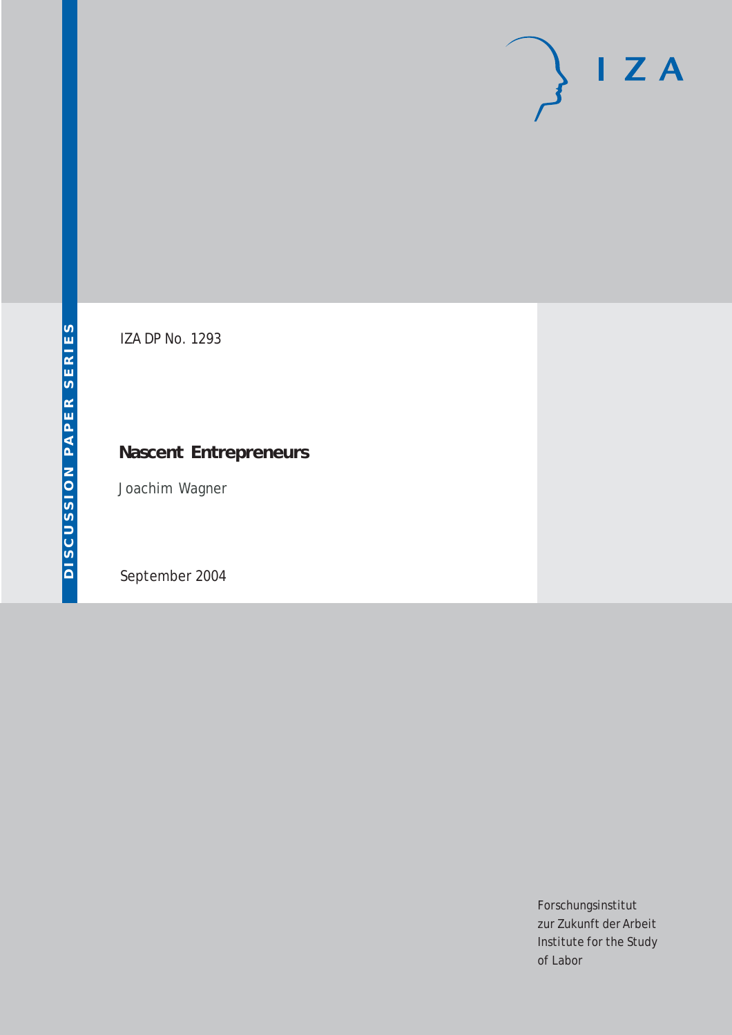# $I Z A$

IZA DP No. 1293

## **Nascent Entrepreneurs**

Joachim Wagner

September 2004

Forschungsinstitut zur Zukunft der Arbeit Institute for the Study of Labor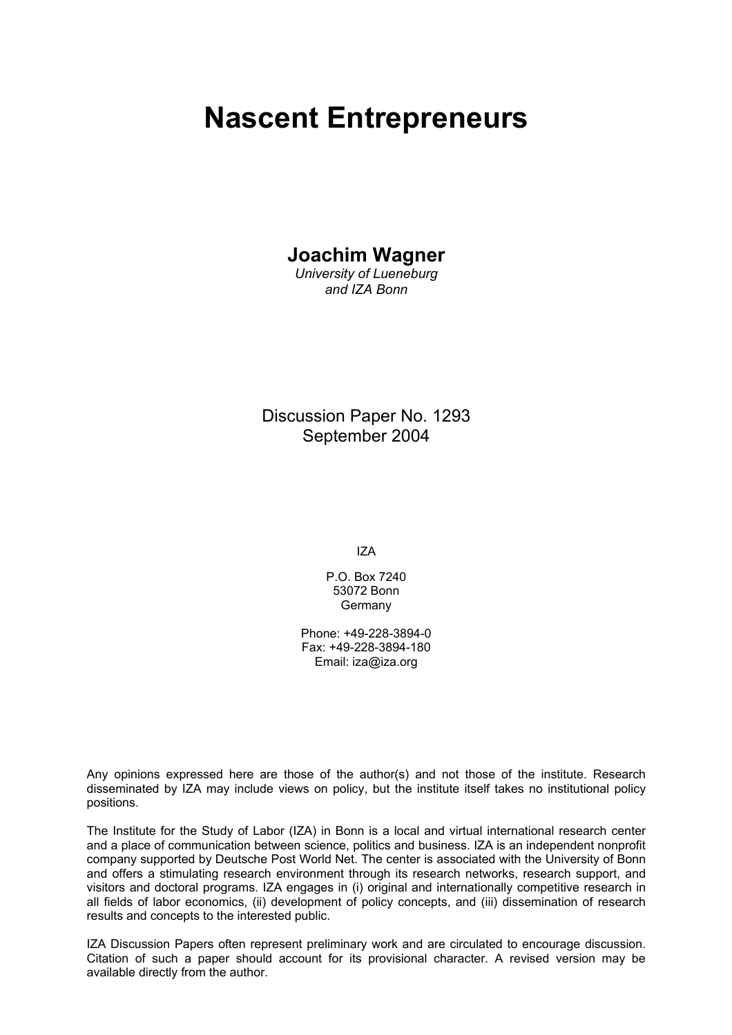## **Nascent Entrepreneurs**

**Joachim Wagner** 

*University of Lueneburg and IZA Bonn*

Discussion Paper No. 1293 September 2004

IZA

P.O. Box 7240 53072 Bonn **Germany** 

Phone: +49-228-3894-0 Fax: +49-228-3894-180 Email: [iza@iza.org](mailto:iza@iza.org)

Any opinions expressed here are those of the author(s) and not those of the institute. Research disseminated by IZA may include views on policy, but the institute itself takes no institutional policy positions.

The Institute for the Study of Labor (IZA) in Bonn is a local and virtual international research center and a place of communication between science, politics and business. IZA is an independent nonprofit company supported by Deutsche Post World Net. The center is associated with the University of Bonn and offers a stimulating research environment through its research networks, research support, and visitors and doctoral programs. IZA engages in (i) original and internationally competitive research in all fields of labor economics, (ii) development of policy concepts, and (iii) dissemination of research results and concepts to the interested public.

IZA Discussion Papers often represent preliminary work and are circulated to encourage discussion. Citation of such a paper should account for its provisional character. A revised version may be available directly from the author.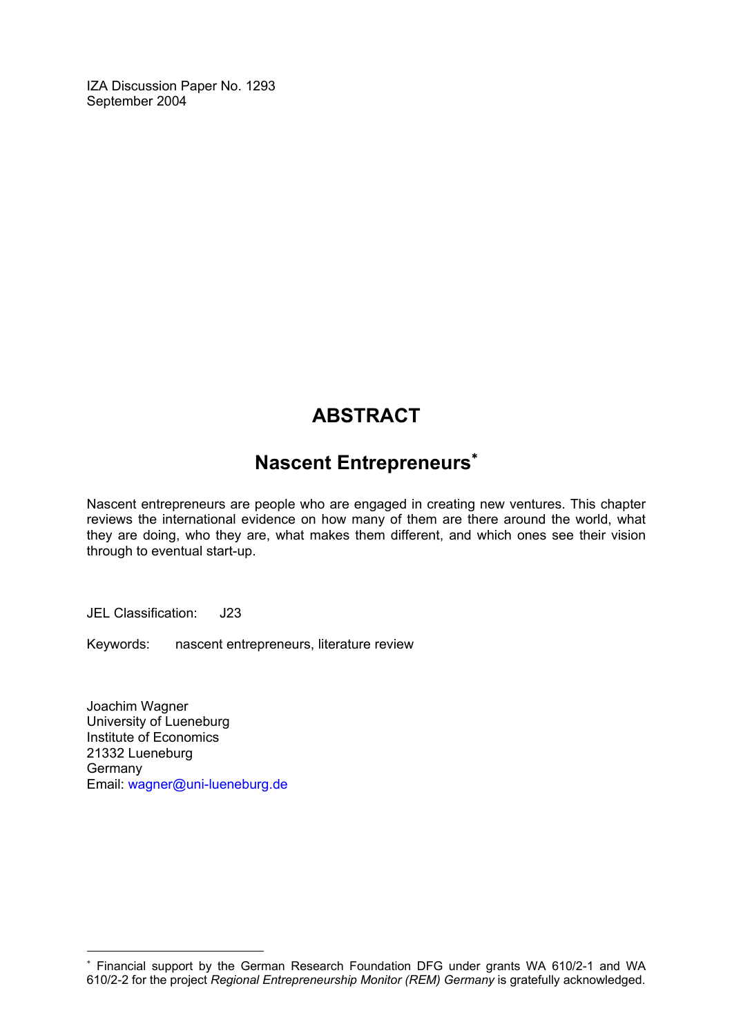IZA Discussion Paper No. 1293 September 2004

## **ABSTRACT**

## **Nascent Entrepreneurs**[∗](#page-2-0)

Nascent entrepreneurs are people who are engaged in creating new ventures. This chapter reviews the international evidence on how many of them are there around the world, what they are doing, who they are, what makes them different, and which ones see their vision through to eventual start-up.

JEL Classification: J23

Keywords: nascent entrepreneurs, literature review

Joachim Wagner University of Lueneburg Institute of Economics 21332 Lueneburg Germany Email: [wagner@uni-lueneburg.de](mailto:wagner@uni-lueneburg.de)

 $\overline{a}$ 

<span id="page-2-0"></span><sup>∗</sup> Financial support by the German Research Foundation DFG under grants WA 610/2-1 and WA 610/2-2 for the project *Regional Entrepreneurship Monitor (REM) Germany* is gratefully acknowledged.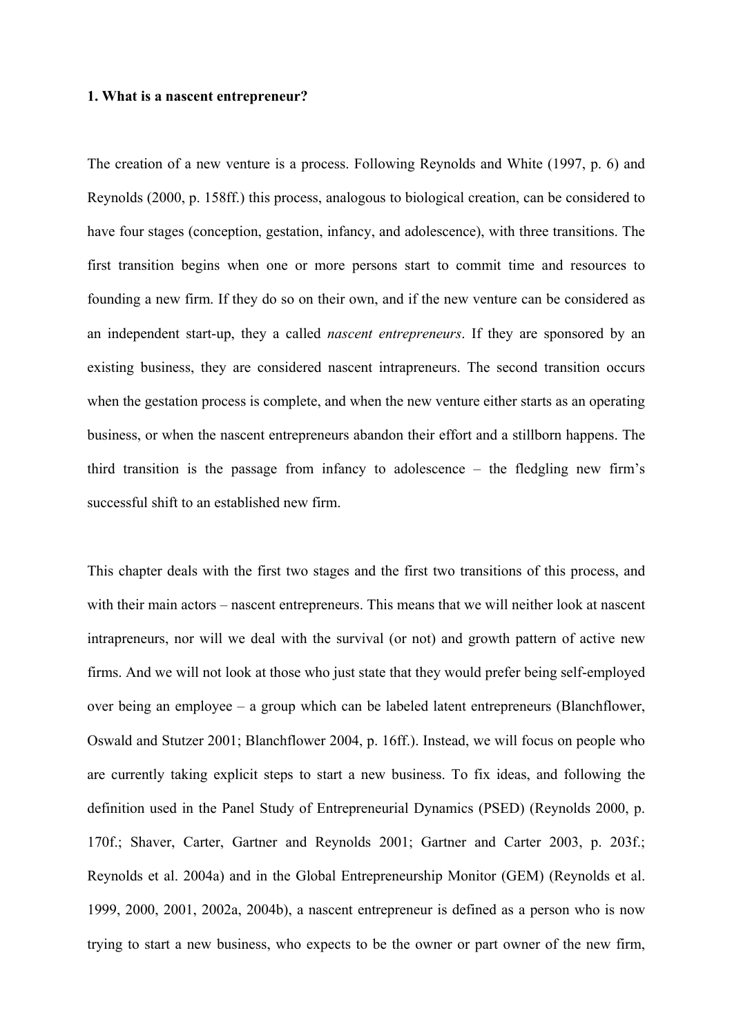#### **1. What is a nascent entrepreneur?**

The creation of a new venture is a process. Following Reynolds and White (1997, p. 6) and Reynolds (2000, p. 158ff.) this process, analogous to biological creation, can be considered to have four stages (conception, gestation, infancy, and adolescence), with three transitions. The first transition begins when one or more persons start to commit time and resources to founding a new firm. If they do so on their own, and if the new venture can be considered as an independent start-up, they a called *nascent entrepreneurs*. If they are sponsored by an existing business, they are considered nascent intrapreneurs. The second transition occurs when the gestation process is complete, and when the new venture either starts as an operating business, or when the nascent entrepreneurs abandon their effort and a stillborn happens. The third transition is the passage from infancy to adolescence – the fledgling new firm's successful shift to an established new firm.

This chapter deals with the first two stages and the first two transitions of this process, and with their main actors – nascent entrepreneurs. This means that we will neither look at nascent intrapreneurs, nor will we deal with the survival (or not) and growth pattern of active new firms. And we will not look at those who just state that they would prefer being self-employed over being an employee – a group which can be labeled latent entrepreneurs (Blanchflower, Oswald and Stutzer 2001; Blanchflower 2004, p. 16ff.). Instead, we will focus on people who are currently taking explicit steps to start a new business. To fix ideas, and following the definition used in the Panel Study of Entrepreneurial Dynamics (PSED) (Reynolds 2000, p. 170f.; Shaver, Carter, Gartner and Reynolds 2001; Gartner and Carter 2003, p. 203f.; Reynolds et al. 2004a) and in the Global Entrepreneurship Monitor (GEM) (Reynolds et al. 1999, 2000, 2001, 2002a, 2004b), a nascent entrepreneur is defined as a person who is now trying to start a new business, who expects to be the owner or part owner of the new firm,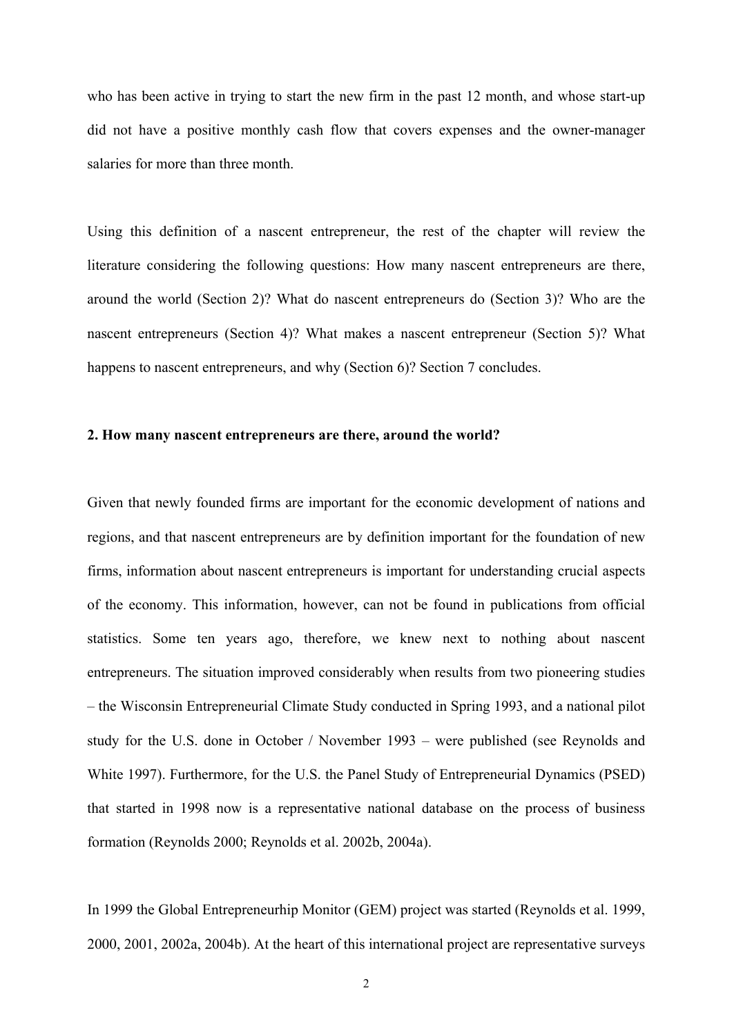who has been active in trying to start the new firm in the past 12 month, and whose start-up did not have a positive monthly cash flow that covers expenses and the owner-manager salaries for more than three month.

Using this definition of a nascent entrepreneur, the rest of the chapter will review the literature considering the following questions: How many nascent entrepreneurs are there, around the world (Section 2)? What do nascent entrepreneurs do (Section 3)? Who are the nascent entrepreneurs (Section 4)? What makes a nascent entrepreneur (Section 5)? What happens to nascent entrepreneurs, and why (Section 6)? Section 7 concludes.

#### **2. How many nascent entrepreneurs are there, around the world?**

Given that newly founded firms are important for the economic development of nations and regions, and that nascent entrepreneurs are by definition important for the foundation of new firms, information about nascent entrepreneurs is important for understanding crucial aspects of the economy. This information, however, can not be found in publications from official statistics. Some ten years ago, therefore, we knew next to nothing about nascent entrepreneurs. The situation improved considerably when results from two pioneering studies – the Wisconsin Entrepreneurial Climate Study conducted in Spring 1993, and a national pilot study for the U.S. done in October / November 1993 – were published (see Reynolds and White 1997). Furthermore, for the U.S. the Panel Study of Entrepreneurial Dynamics (PSED) that started in 1998 now is a representative national database on the process of business formation (Reynolds 2000; Reynolds et al. 2002b, 2004a).

In 1999 the Global Entrepreneurhip Monitor (GEM) project was started (Reynolds et al. 1999, 2000, 2001, 2002a, 2004b). At the heart of this international project are representative surveys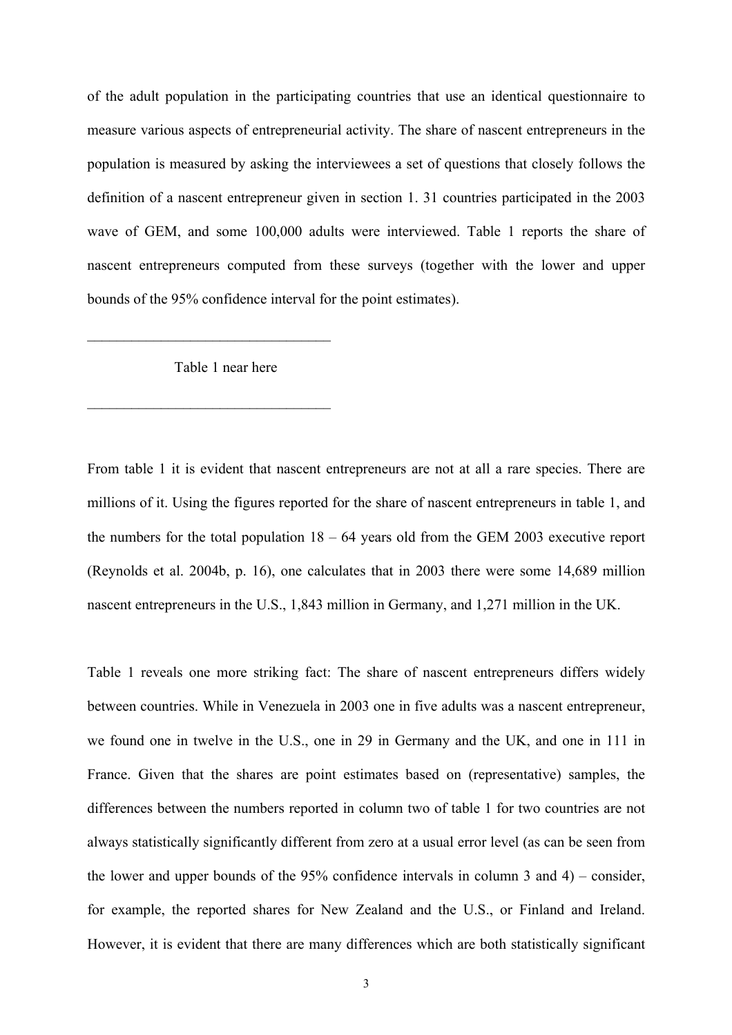of the adult population in the participating countries that use an identical questionnaire to measure various aspects of entrepreneurial activity. The share of nascent entrepreneurs in the population is measured by asking the interviewees a set of questions that closely follows the definition of a nascent entrepreneur given in section 1. 31 countries participated in the 2003 wave of GEM, and some 100,000 adults were interviewed. Table 1 reports the share of nascent entrepreneurs computed from these surveys (together with the lower and upper bounds of the 95% confidence interval for the point estimates).

Table 1 near here

 $\mathcal{L}_\text{max}$  , where  $\mathcal{L}_\text{max}$  and  $\mathcal{L}_\text{max}$  and  $\mathcal{L}_\text{max}$ 

 $\mathcal{L}_\text{max}$  , where  $\mathcal{L}_\text{max}$  and  $\mathcal{L}_\text{max}$  and  $\mathcal{L}_\text{max}$ 

From table 1 it is evident that nascent entrepreneurs are not at all a rare species. There are millions of it. Using the figures reported for the share of nascent entrepreneurs in table 1, and the numbers for the total population 18 – 64 years old from the GEM 2003 executive report (Reynolds et al. 2004b, p. 16), one calculates that in 2003 there were some 14,689 million nascent entrepreneurs in the U.S., 1,843 million in Germany, and 1,271 million in the UK.

Table 1 reveals one more striking fact: The share of nascent entrepreneurs differs widely between countries. While in Venezuela in 2003 one in five adults was a nascent entrepreneur, we found one in twelve in the U.S., one in 29 in Germany and the UK, and one in 111 in France. Given that the shares are point estimates based on (representative) samples, the differences between the numbers reported in column two of table 1 for two countries are not always statistically significantly different from zero at a usual error level (as can be seen from the lower and upper bounds of the 95% confidence intervals in column 3 and 4) – consider, for example, the reported shares for New Zealand and the U.S., or Finland and Ireland. However, it is evident that there are many differences which are both statistically significant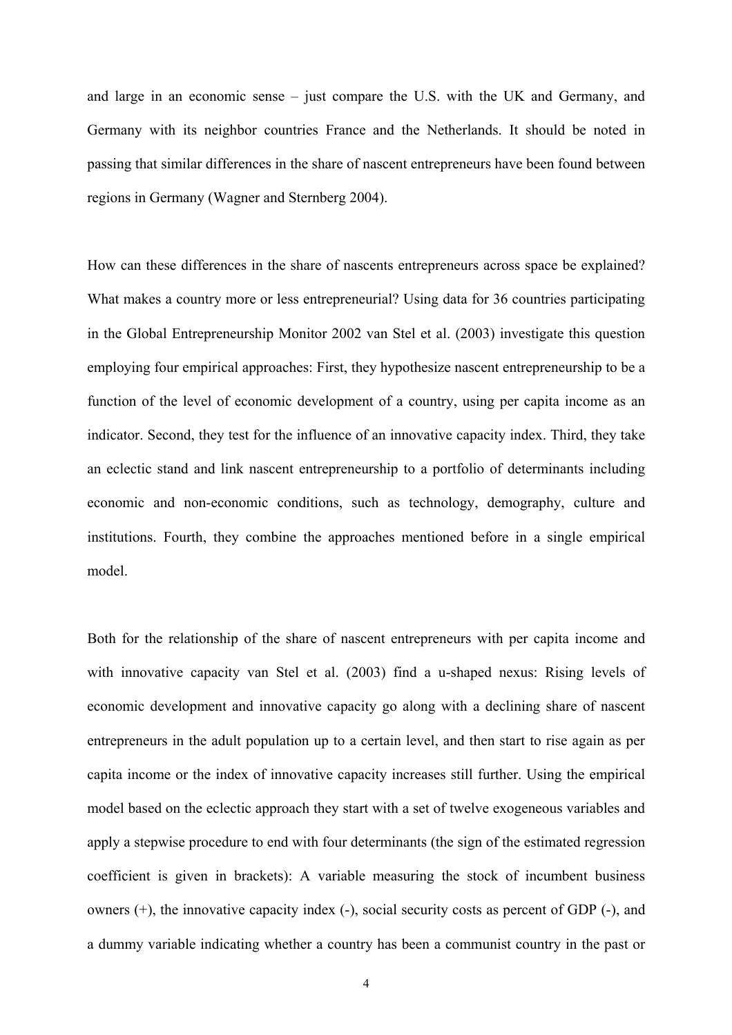and large in an economic sense – just compare the U.S. with the UK and Germany, and Germany with its neighbor countries France and the Netherlands. It should be noted in passing that similar differences in the share of nascent entrepreneurs have been found between regions in Germany (Wagner and Sternberg 2004).

How can these differences in the share of nascents entrepreneurs across space be explained? What makes a country more or less entrepreneurial? Using data for 36 countries participating in the Global Entrepreneurship Monitor 2002 van Stel et al. (2003) investigate this question employing four empirical approaches: First, they hypothesize nascent entrepreneurship to be a function of the level of economic development of a country, using per capita income as an indicator. Second, they test for the influence of an innovative capacity index. Third, they take an eclectic stand and link nascent entrepreneurship to a portfolio of determinants including economic and non-economic conditions, such as technology, demography, culture and institutions. Fourth, they combine the approaches mentioned before in a single empirical model.

Both for the relationship of the share of nascent entrepreneurs with per capita income and with innovative capacity van Stel et al. (2003) find a u-shaped nexus: Rising levels of economic development and innovative capacity go along with a declining share of nascent entrepreneurs in the adult population up to a certain level, and then start to rise again as per capita income or the index of innovative capacity increases still further. Using the empirical model based on the eclectic approach they start with a set of twelve exogeneous variables and apply a stepwise procedure to end with four determinants (the sign of the estimated regression coefficient is given in brackets): A variable measuring the stock of incumbent business owners (+), the innovative capacity index (-), social security costs as percent of GDP (-), and a dummy variable indicating whether a country has been a communist country in the past or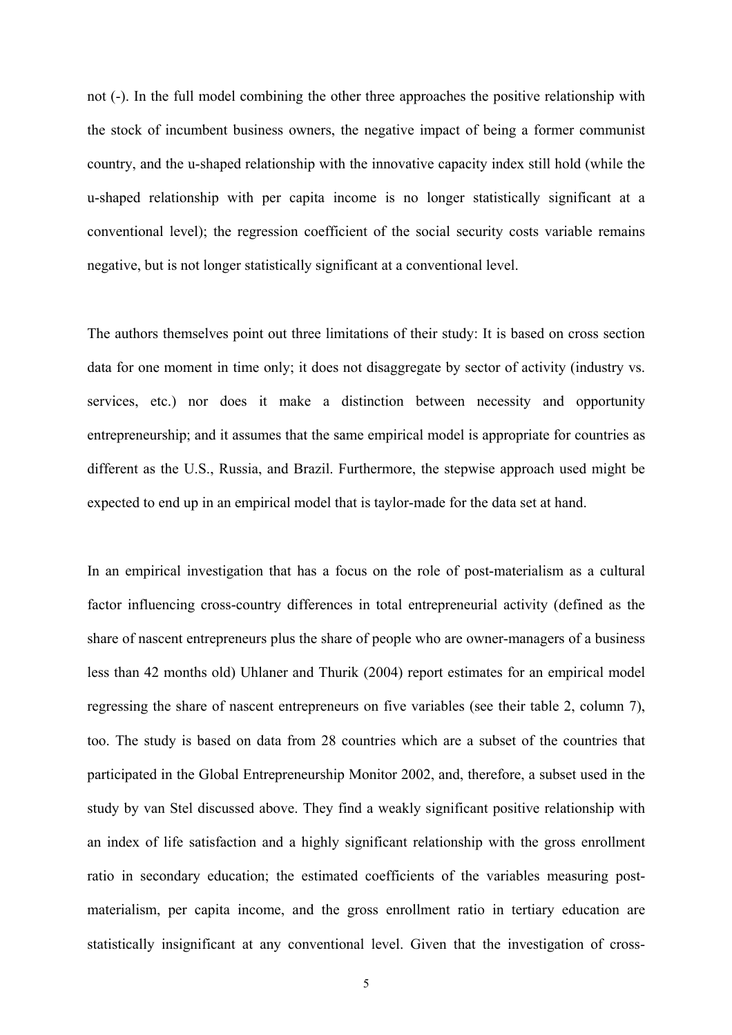not (-). In the full model combining the other three approaches the positive relationship with the stock of incumbent business owners, the negative impact of being a former communist country, and the u-shaped relationship with the innovative capacity index still hold (while the u-shaped relationship with per capita income is no longer statistically significant at a conventional level); the regression coefficient of the social security costs variable remains negative, but is not longer statistically significant at a conventional level.

The authors themselves point out three limitations of their study: It is based on cross section data for one moment in time only; it does not disaggregate by sector of activity (industry vs. services, etc.) nor does it make a distinction between necessity and opportunity entrepreneurship; and it assumes that the same empirical model is appropriate for countries as different as the U.S., Russia, and Brazil. Furthermore, the stepwise approach used might be expected to end up in an empirical model that is taylor-made for the data set at hand.

In an empirical investigation that has a focus on the role of post-materialism as a cultural factor influencing cross-country differences in total entrepreneurial activity (defined as the share of nascent entrepreneurs plus the share of people who are owner-managers of a business less than 42 months old) Uhlaner and Thurik (2004) report estimates for an empirical model regressing the share of nascent entrepreneurs on five variables (see their table 2, column 7), too. The study is based on data from 28 countries which are a subset of the countries that participated in the Global Entrepreneurship Monitor 2002, and, therefore, a subset used in the study by van Stel discussed above. They find a weakly significant positive relationship with an index of life satisfaction and a highly significant relationship with the gross enrollment ratio in secondary education; the estimated coefficients of the variables measuring postmaterialism, per capita income, and the gross enrollment ratio in tertiary education are statistically insignificant at any conventional level. Given that the investigation of cross-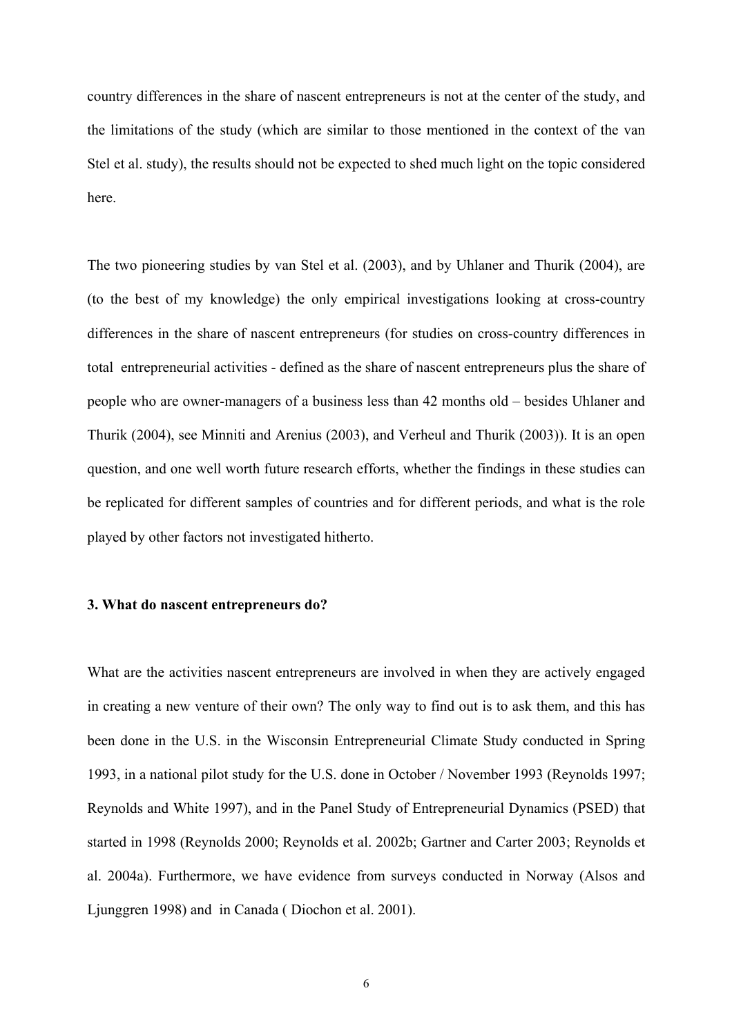country differences in the share of nascent entrepreneurs is not at the center of the study, and the limitations of the study (which are similar to those mentioned in the context of the van Stel et al. study), the results should not be expected to shed much light on the topic considered here.

The two pioneering studies by van Stel et al. (2003), and by Uhlaner and Thurik (2004), are (to the best of my knowledge) the only empirical investigations looking at cross-country differences in the share of nascent entrepreneurs (for studies on cross-country differences in total entrepreneurial activities - defined as the share of nascent entrepreneurs plus the share of people who are owner-managers of a business less than 42 months old – besides Uhlaner and Thurik (2004), see Minniti and Arenius (2003), and Verheul and Thurik (2003)). It is an open question, and one well worth future research efforts, whether the findings in these studies can be replicated for different samples of countries and for different periods, and what is the role played by other factors not investigated hitherto.

#### **3. What do nascent entrepreneurs do?**

What are the activities nascent entrepreneurs are involved in when they are actively engaged in creating a new venture of their own? The only way to find out is to ask them, and this has been done in the U.S. in the Wisconsin Entrepreneurial Climate Study conducted in Spring 1993, in a national pilot study for the U.S. done in October / November 1993 (Reynolds 1997; Reynolds and White 1997), and in the Panel Study of Entrepreneurial Dynamics (PSED) that started in 1998 (Reynolds 2000; Reynolds et al. 2002b; Gartner and Carter 2003; Reynolds et al. 2004a). Furthermore, we have evidence from surveys conducted in Norway (Alsos and Ljunggren 1998) and in Canada ( Diochon et al. 2001).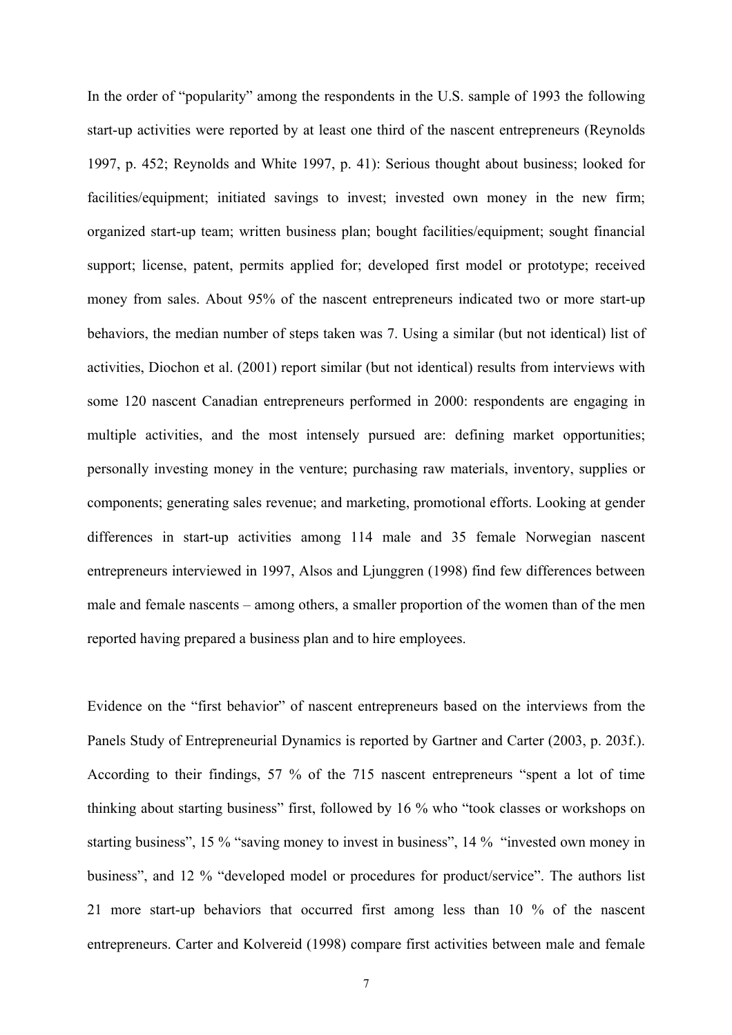In the order of "popularity" among the respondents in the U.S. sample of 1993 the following start-up activities were reported by at least one third of the nascent entrepreneurs (Reynolds 1997, p. 452; Reynolds and White 1997, p. 41): Serious thought about business; looked for facilities/equipment; initiated savings to invest; invested own money in the new firm; organized start-up team; written business plan; bought facilities/equipment; sought financial support; license, patent, permits applied for; developed first model or prototype; received money from sales. About 95% of the nascent entrepreneurs indicated two or more start-up behaviors, the median number of steps taken was 7. Using a similar (but not identical) list of activities, Diochon et al. (2001) report similar (but not identical) results from interviews with some 120 nascent Canadian entrepreneurs performed in 2000: respondents are engaging in multiple activities, and the most intensely pursued are: defining market opportunities; personally investing money in the venture; purchasing raw materials, inventory, supplies or components; generating sales revenue; and marketing, promotional efforts. Looking at gender differences in start-up activities among 114 male and 35 female Norwegian nascent entrepreneurs interviewed in 1997, Alsos and Ljunggren (1998) find few differences between male and female nascents – among others, a smaller proportion of the women than of the men reported having prepared a business plan and to hire employees.

Evidence on the "first behavior" of nascent entrepreneurs based on the interviews from the Panels Study of Entrepreneurial Dynamics is reported by Gartner and Carter (2003, p. 203f.). According to their findings, 57 % of the 715 nascent entrepreneurs "spent a lot of time thinking about starting business" first, followed by 16 % who "took classes or workshops on starting business", 15 % "saving money to invest in business", 14 % "invested own money in business", and 12 % "developed model or procedures for product/service". The authors list 21 more start-up behaviors that occurred first among less than 10 % of the nascent entrepreneurs. Carter and Kolvereid (1998) compare first activities between male and female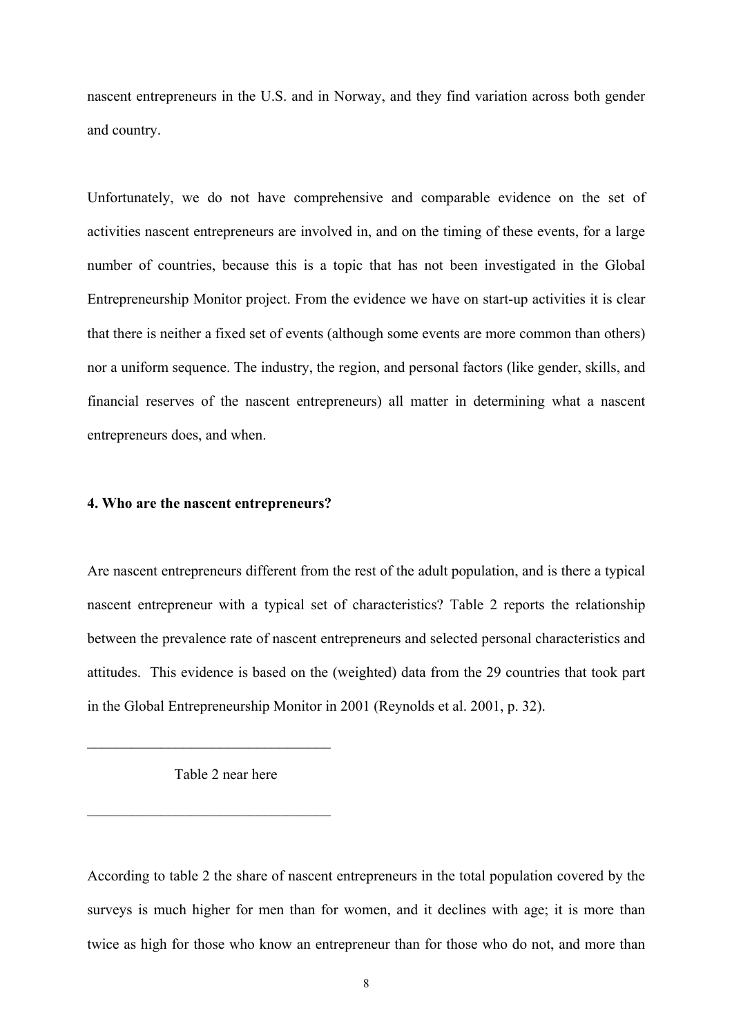nascent entrepreneurs in the U.S. and in Norway, and they find variation across both gender and country.

Unfortunately, we do not have comprehensive and comparable evidence on the set of activities nascent entrepreneurs are involved in, and on the timing of these events, for a large number of countries, because this is a topic that has not been investigated in the Global Entrepreneurship Monitor project. From the evidence we have on start-up activities it is clear that there is neither a fixed set of events (although some events are more common than others) nor a uniform sequence. The industry, the region, and personal factors (like gender, skills, and financial reserves of the nascent entrepreneurs) all matter in determining what a nascent entrepreneurs does, and when.

#### **4. Who are the nascent entrepreneurs?**

Are nascent entrepreneurs different from the rest of the adult population, and is there a typical nascent entrepreneur with a typical set of characteristics? Table 2 reports the relationship between the prevalence rate of nascent entrepreneurs and selected personal characteristics and attitudes. This evidence is based on the (weighted) data from the 29 countries that took part in the Global Entrepreneurship Monitor in 2001 (Reynolds et al. 2001, p. 32).

Table 2 near here

 $\mathcal{L}_\text{max}$  , where  $\mathcal{L}_\text{max}$  and  $\mathcal{L}_\text{max}$  and  $\mathcal{L}_\text{max}$ 

 $\mathcal{L}_\text{max}$ 

According to table 2 the share of nascent entrepreneurs in the total population covered by the surveys is much higher for men than for women, and it declines with age; it is more than twice as high for those who know an entrepreneur than for those who do not, and more than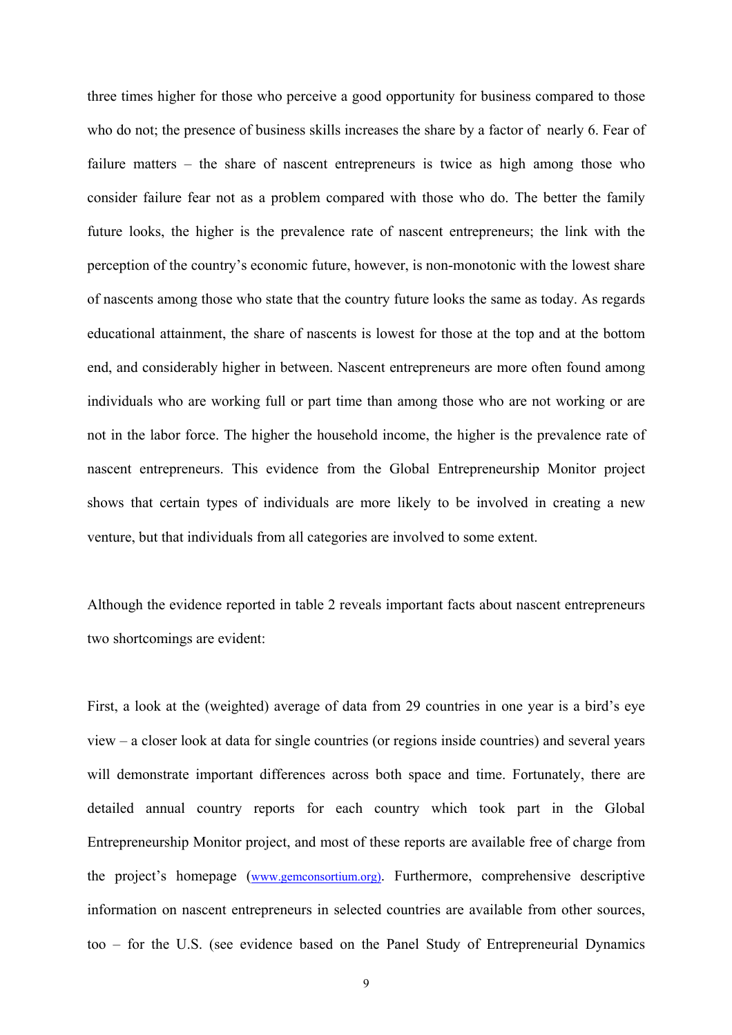three times higher for those who perceive a good opportunity for business compared to those who do not; the presence of business skills increases the share by a factor of nearly 6. Fear of failure matters – the share of nascent entrepreneurs is twice as high among those who consider failure fear not as a problem compared with those who do. The better the family future looks, the higher is the prevalence rate of nascent entrepreneurs; the link with the perception of the country's economic future, however, is non-monotonic with the lowest share of nascents among those who state that the country future looks the same as today. As regards educational attainment, the share of nascents is lowest for those at the top and at the bottom end, and considerably higher in between. Nascent entrepreneurs are more often found among individuals who are working full or part time than among those who are not working or are not in the labor force. The higher the household income, the higher is the prevalence rate of nascent entrepreneurs. This evidence from the Global Entrepreneurship Monitor project shows that certain types of individuals are more likely to be involved in creating a new venture, but that individuals from all categories are involved to some extent.

Although the evidence reported in table 2 reveals important facts about nascent entrepreneurs two shortcomings are evident:

First, a look at the (weighted) average of data from 29 countries in one year is a bird's eye view – a closer look at data for single countries (or regions inside countries) and several years will demonstrate important differences across both space and time. Fortunately, there are detailed annual country reports for each country which took part in the Global Entrepreneurship Monitor project, and most of these reports are available free of charge from the project's homepage (www.gemconsortium.org). Furthermore, comprehensive descriptive information on nascent entrepreneurs in selected countries are available from other sources, too – for the U.S. (see evidence based on the Panel Study of Entrepreneurial Dynamics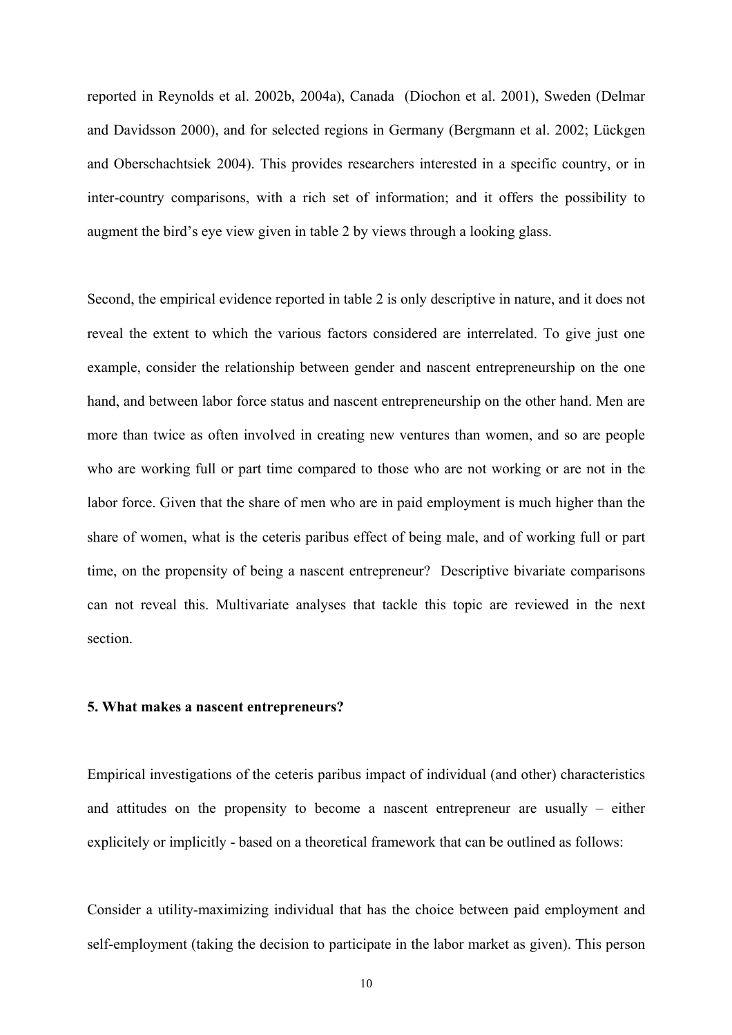reported in Reynolds et al. 2002b, 2004a), Canada (Diochon et al. 2001), Sweden (Delmar and Davidsson 2000), and for selected regions in Germany (Bergmann et al. 2002; Lückgen and Oberschachtsiek 2004). This provides researchers interested in a specific country, or in inter-country comparisons, with a rich set of information; and it offers the possibility to augment the bird's eye view given in table 2 by views through a looking glass.

Second, the empirical evidence reported in table 2 is only descriptive in nature, and it does not reveal the extent to which the various factors considered are interrelated. To give just one example, consider the relationship between gender and nascent entrepreneurship on the one hand, and between labor force status and nascent entrepreneurship on the other hand. Men are more than twice as often involved in creating new ventures than women, and so are people who are working full or part time compared to those who are not working or are not in the labor force. Given that the share of men who are in paid employment is much higher than the share of women, what is the ceteris paribus effect of being male, and of working full or part time, on the propensity of being a nascent entrepreneur? Descriptive bivariate comparisons can not reveal this. Multivariate analyses that tackle this topic are reviewed in the next section.

#### **5. What makes a nascent entrepreneurs?**

Empirical investigations of the ceteris paribus impact of individual (and other) characteristics and attitudes on the propensity to become a nascent entrepreneur are usually – either explicitely or implicitly - based on a theoretical framework that can be outlined as follows:

Consider a utility-maximizing individual that has the choice between paid employment and self-employment (taking the decision to participate in the labor market as given). This person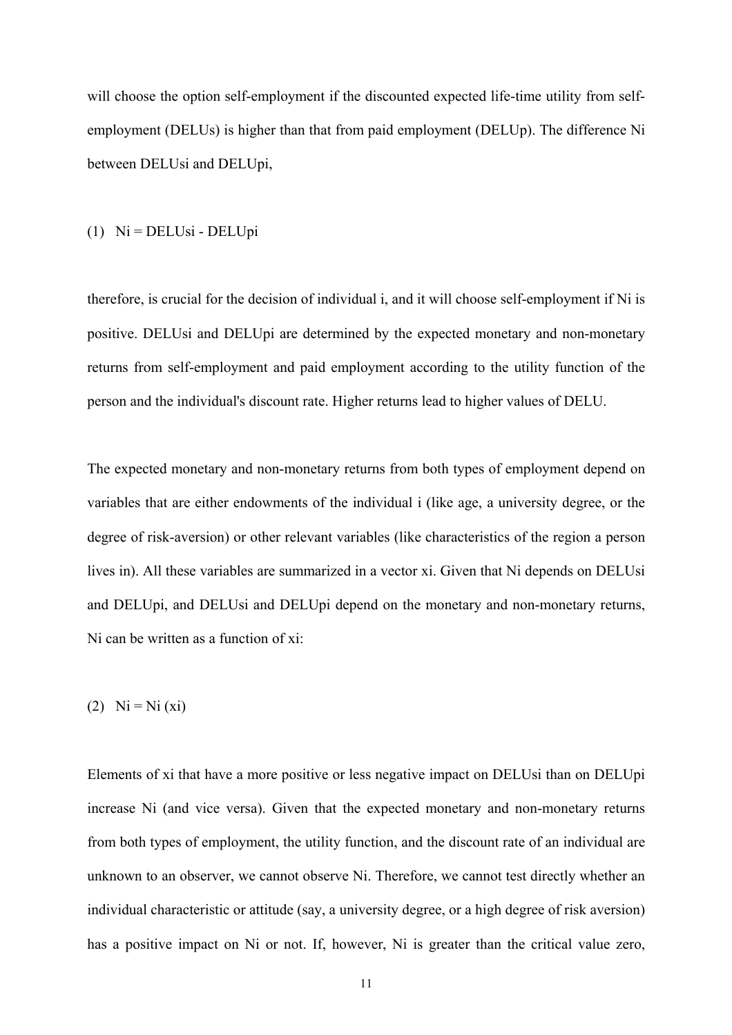will choose the option self-employment if the discounted expected life-time utility from selfemployment (DELUs) is higher than that from paid employment (DELUp). The difference Ni between DELUsi and DELUpi,

#### (1) Ni = DELUsi - DELUpi

therefore, is crucial for the decision of individual i, and it will choose self-employment if Ni is positive. DELUsi and DELUpi are determined by the expected monetary and non-monetary returns from self-employment and paid employment according to the utility function of the person and the individual's discount rate. Higher returns lead to higher values of DELU.

The expected monetary and non-monetary returns from both types of employment depend on variables that are either endowments of the individual i (like age, a university degree, or the degree of risk-aversion) or other relevant variables (like characteristics of the region a person lives in). All these variables are summarized in a vector xi. Given that Ni depends on DELUsi and DELUpi, and DELUsi and DELUpi depend on the monetary and non-monetary returns, Ni can be written as a function of xi:

(2)  $Ni = Ni (xi)$ 

Elements of xi that have a more positive or less negative impact on DELUsi than on DELUpi increase Ni (and vice versa). Given that the expected monetary and non-monetary returns from both types of employment, the utility function, and the discount rate of an individual are unknown to an observer, we cannot observe Ni. Therefore, we cannot test directly whether an individual characteristic or attitude (say, a university degree, or a high degree of risk aversion) has a positive impact on Ni or not. If, however, Ni is greater than the critical value zero,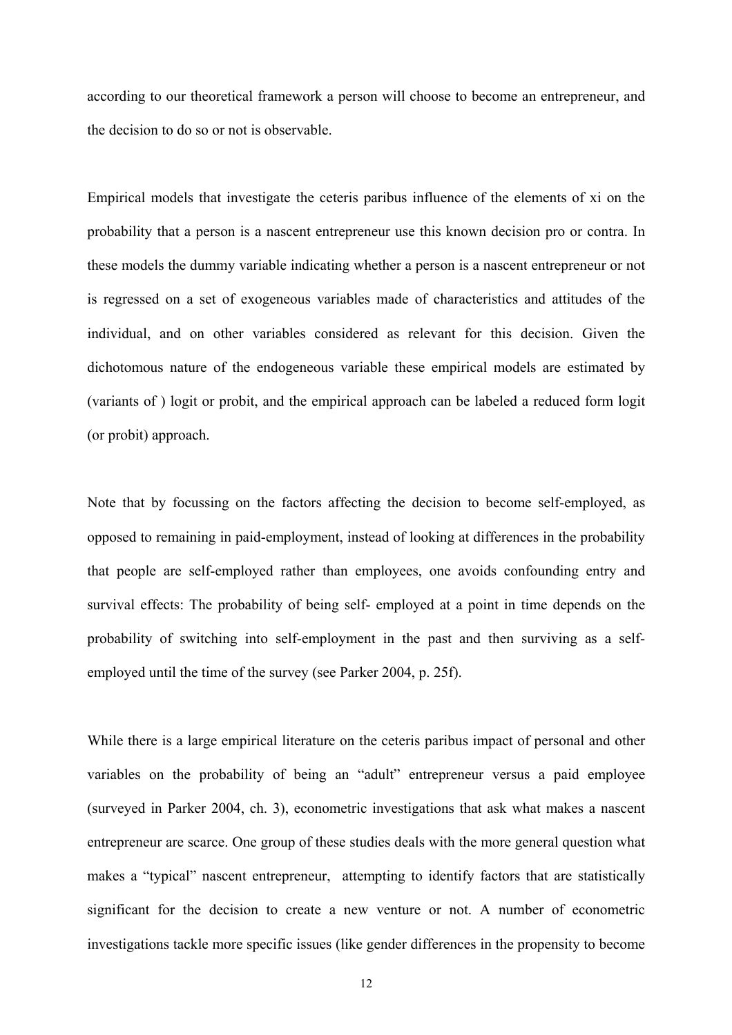according to our theoretical framework a person will choose to become an entrepreneur, and the decision to do so or not is observable.

Empirical models that investigate the ceteris paribus influence of the elements of xi on the probability that a person is a nascent entrepreneur use this known decision pro or contra. In these models the dummy variable indicating whether a person is a nascent entrepreneur or not is regressed on a set of exogeneous variables made of characteristics and attitudes of the individual, and on other variables considered as relevant for this decision. Given the dichotomous nature of the endogeneous variable these empirical models are estimated by (variants of ) logit or probit, and the empirical approach can be labeled a reduced form logit (or probit) approach.

Note that by focussing on the factors affecting the decision to become self-employed, as opposed to remaining in paid-employment, instead of looking at differences in the probability that people are self-employed rather than employees, one avoids confounding entry and survival effects: The probability of being self- employed at a point in time depends on the probability of switching into self-employment in the past and then surviving as a selfemployed until the time of the survey (see Parker 2004, p. 25f).

While there is a large empirical literature on the ceteris paribus impact of personal and other variables on the probability of being an "adult" entrepreneur versus a paid employee (surveyed in Parker 2004, ch. 3), econometric investigations that ask what makes a nascent entrepreneur are scarce. One group of these studies deals with the more general question what makes a "typical" nascent entrepreneur, attempting to identify factors that are statistically significant for the decision to create a new venture or not. A number of econometric investigations tackle more specific issues (like gender differences in the propensity to become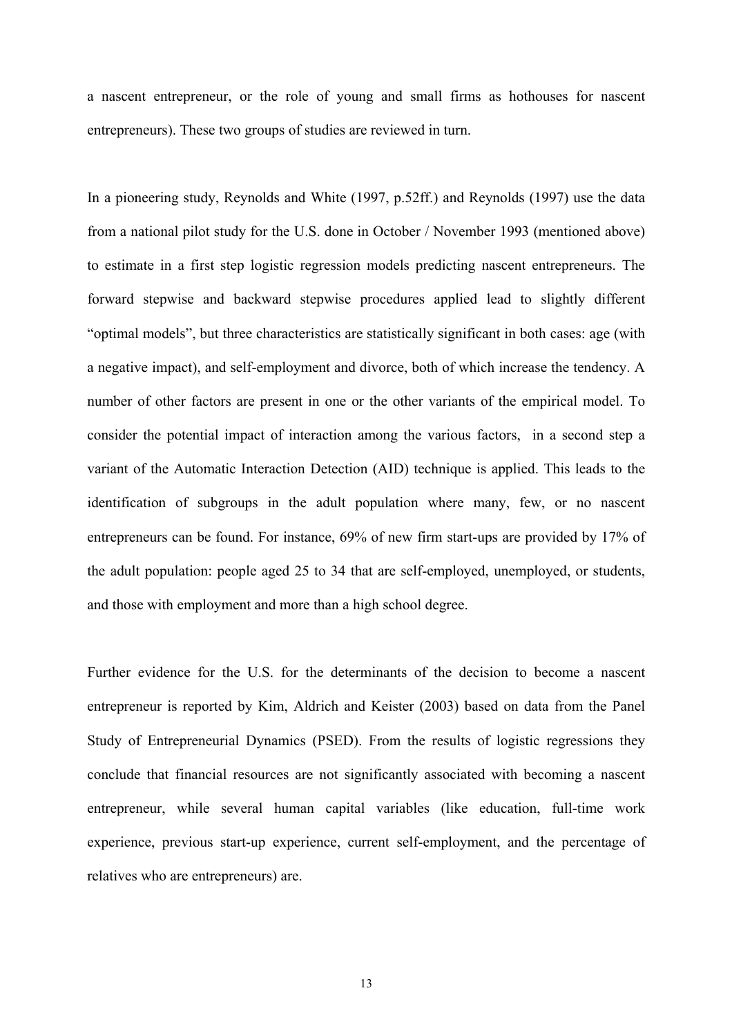a nascent entrepreneur, or the role of young and small firms as hothouses for nascent entrepreneurs). These two groups of studies are reviewed in turn.

In a pioneering study, Reynolds and White (1997, p.52ff.) and Reynolds (1997) use the data from a national pilot study for the U.S. done in October / November 1993 (mentioned above) to estimate in a first step logistic regression models predicting nascent entrepreneurs. The forward stepwise and backward stepwise procedures applied lead to slightly different "optimal models", but three characteristics are statistically significant in both cases: age (with a negative impact), and self-employment and divorce, both of which increase the tendency. A number of other factors are present in one or the other variants of the empirical model. To consider the potential impact of interaction among the various factors, in a second step a variant of the Automatic Interaction Detection (AID) technique is applied. This leads to the identification of subgroups in the adult population where many, few, or no nascent entrepreneurs can be found. For instance, 69% of new firm start-ups are provided by 17% of the adult population: people aged 25 to 34 that are self-employed, unemployed, or students, and those with employment and more than a high school degree.

Further evidence for the U.S. for the determinants of the decision to become a nascent entrepreneur is reported by Kim, Aldrich and Keister (2003) based on data from the Panel Study of Entrepreneurial Dynamics (PSED). From the results of logistic regressions they conclude that financial resources are not significantly associated with becoming a nascent entrepreneur, while several human capital variables (like education, full-time work experience, previous start-up experience, current self-employment, and the percentage of relatives who are entrepreneurs) are.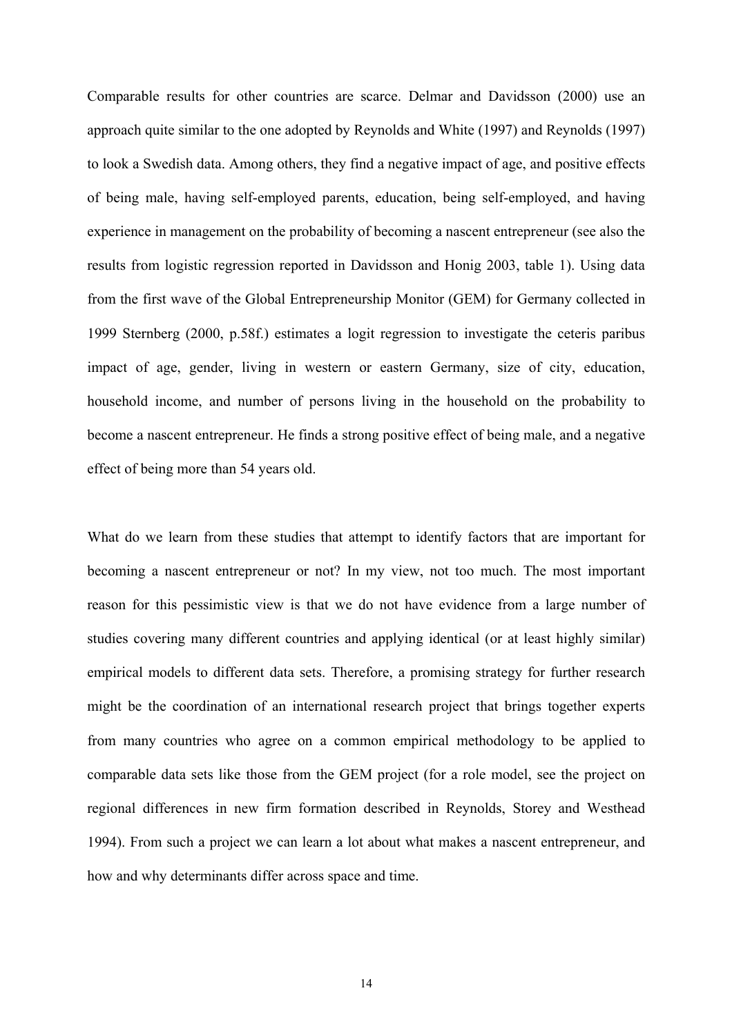Comparable results for other countries are scarce. Delmar and Davidsson (2000) use an approach quite similar to the one adopted by Reynolds and White (1997) and Reynolds (1997) to look a Swedish data. Among others, they find a negative impact of age, and positive effects of being male, having self-employed parents, education, being self-employed, and having experience in management on the probability of becoming a nascent entrepreneur (see also the results from logistic regression reported in Davidsson and Honig 2003, table 1). Using data from the first wave of the Global Entrepreneurship Monitor (GEM) for Germany collected in 1999 Sternberg (2000, p.58f.) estimates a logit regression to investigate the ceteris paribus impact of age, gender, living in western or eastern Germany, size of city, education, household income, and number of persons living in the household on the probability to become a nascent entrepreneur. He finds a strong positive effect of being male, and a negative effect of being more than 54 years old.

What do we learn from these studies that attempt to identify factors that are important for becoming a nascent entrepreneur or not? In my view, not too much. The most important reason for this pessimistic view is that we do not have evidence from a large number of studies covering many different countries and applying identical (or at least highly similar) empirical models to different data sets. Therefore, a promising strategy for further research might be the coordination of an international research project that brings together experts from many countries who agree on a common empirical methodology to be applied to comparable data sets like those from the GEM project (for a role model, see the project on regional differences in new firm formation described in Reynolds, Storey and Westhead 1994). From such a project we can learn a lot about what makes a nascent entrepreneur, and how and why determinants differ across space and time.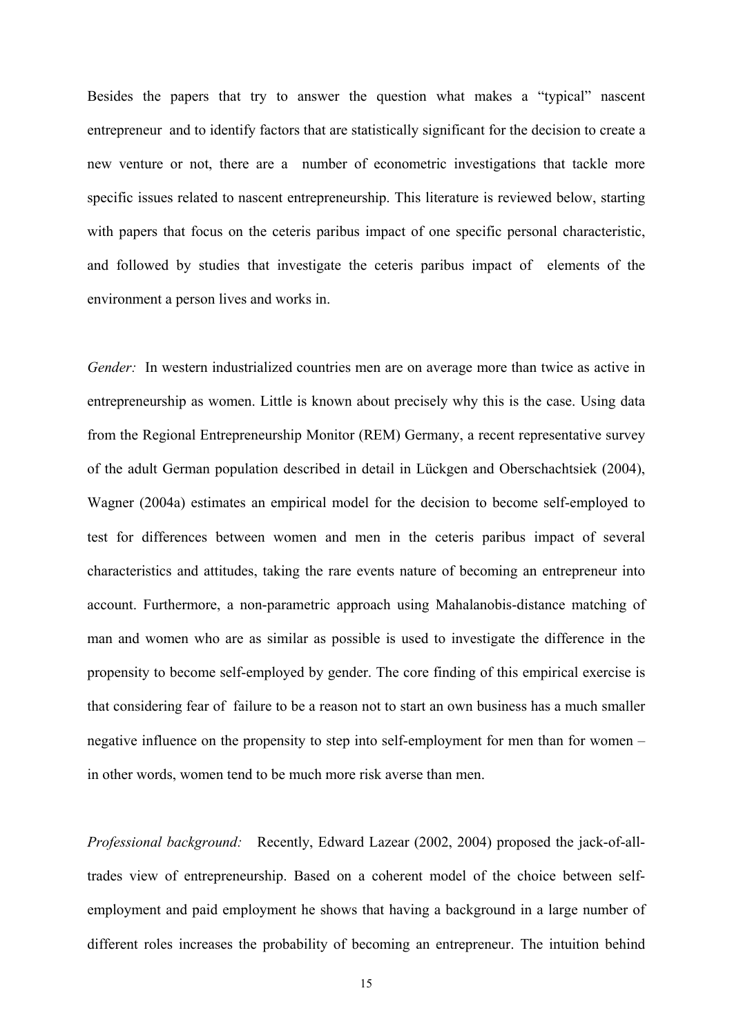Besides the papers that try to answer the question what makes a "typical" nascent entrepreneur and to identify factors that are statistically significant for the decision to create a new venture or not, there are a number of econometric investigations that tackle more specific issues related to nascent entrepreneurship. This literature is reviewed below, starting with papers that focus on the ceteris paribus impact of one specific personal characteristic, and followed by studies that investigate the ceteris paribus impact of elements of the environment a person lives and works in.

*Gender:* In western industrialized countries men are on average more than twice as active in entrepreneurship as women. Little is known about precisely why this is the case. Using data from the Regional Entrepreneurship Monitor (REM) Germany, a recent representative survey of the adult German population described in detail in Lückgen and Oberschachtsiek (2004), Wagner (2004a) estimates an empirical model for the decision to become self-employed to test for differences between women and men in the ceteris paribus impact of several characteristics and attitudes, taking the rare events nature of becoming an entrepreneur into account. Furthermore, a non-parametric approach using Mahalanobis-distance matching of man and women who are as similar as possible is used to investigate the difference in the propensity to become self-employed by gender. The core finding of this empirical exercise is that considering fear of failure to be a reason not to start an own business has a much smaller negative influence on the propensity to step into self-employment for men than for women – in other words, women tend to be much more risk averse than men.

*Professional background:* Recently, Edward Lazear (2002, 2004) proposed the jack-of-alltrades view of entrepreneurship. Based on a coherent model of the choice between selfemployment and paid employment he shows that having a background in a large number of different roles increases the probability of becoming an entrepreneur. The intuition behind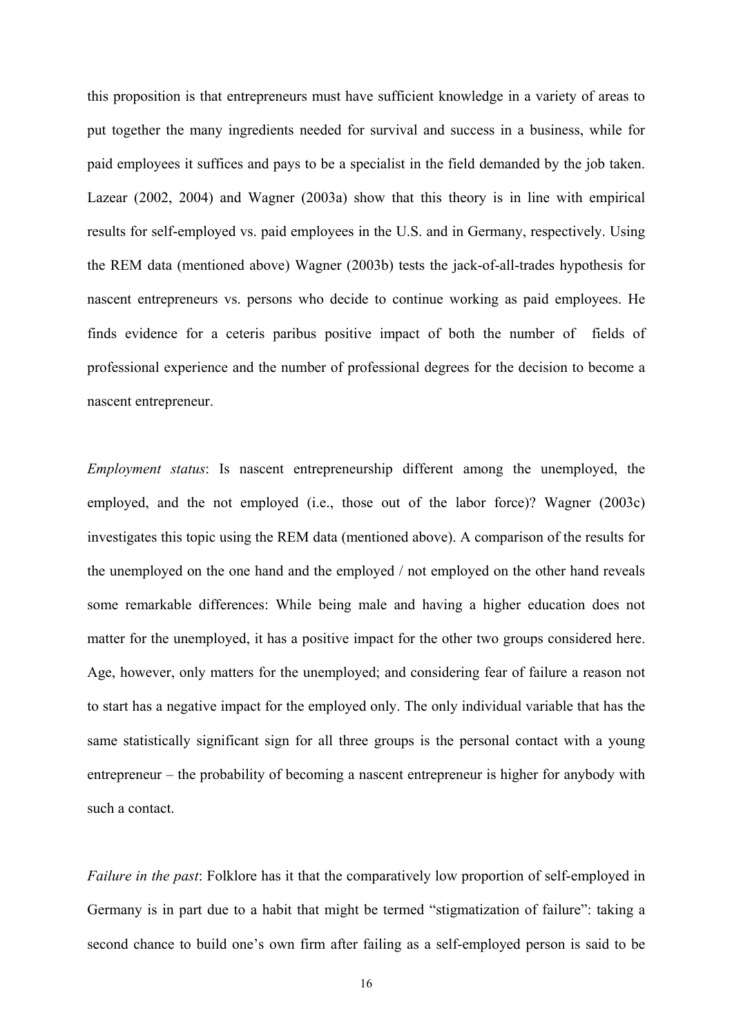this proposition is that entrepreneurs must have sufficient knowledge in a variety of areas to put together the many ingredients needed for survival and success in a business, while for paid employees it suffices and pays to be a specialist in the field demanded by the job taken. Lazear (2002, 2004) and Wagner (2003a) show that this theory is in line with empirical results for self-employed vs. paid employees in the U.S. and in Germany, respectively. Using the REM data (mentioned above) Wagner (2003b) tests the jack-of-all-trades hypothesis for nascent entrepreneurs vs. persons who decide to continue working as paid employees. He finds evidence for a ceteris paribus positive impact of both the number of fields of professional experience and the number of professional degrees for the decision to become a nascent entrepreneur.

*Employment status*: Is nascent entrepreneurship different among the unemployed, the employed, and the not employed (i.e., those out of the labor force)? Wagner (2003c) investigates this topic using the REM data (mentioned above). A comparison of the results for the unemployed on the one hand and the employed / not employed on the other hand reveals some remarkable differences: While being male and having a higher education does not matter for the unemployed, it has a positive impact for the other two groups considered here. Age, however, only matters for the unemployed; and considering fear of failure a reason not to start has a negative impact for the employed only. The only individual variable that has the same statistically significant sign for all three groups is the personal contact with a young entrepreneur – the probability of becoming a nascent entrepreneur is higher for anybody with such a contact.

*Failure in the past*: Folklore has it that the comparatively low proportion of self-employed in Germany is in part due to a habit that might be termed "stigmatization of failure": taking a second chance to build one's own firm after failing as a self-employed person is said to be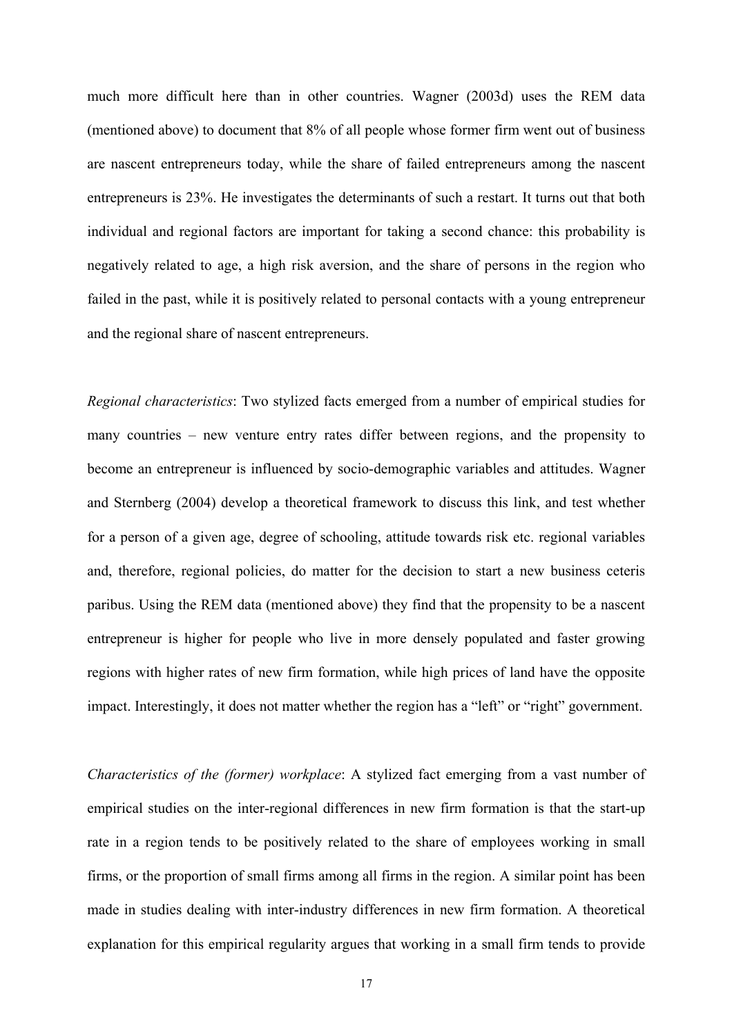much more difficult here than in other countries. Wagner (2003d) uses the REM data (mentioned above) to document that 8% of all people whose former firm went out of business are nascent entrepreneurs today, while the share of failed entrepreneurs among the nascent entrepreneurs is 23%. He investigates the determinants of such a restart. It turns out that both individual and regional factors are important for taking a second chance: this probability is negatively related to age, a high risk aversion, and the share of persons in the region who failed in the past, while it is positively related to personal contacts with a young entrepreneur and the regional share of nascent entrepreneurs.

*Regional characteristics*: Two stylized facts emerged from a number of empirical studies for many countries – new venture entry rates differ between regions, and the propensity to become an entrepreneur is influenced by socio-demographic variables and attitudes. Wagner and Sternberg (2004) develop a theoretical framework to discuss this link, and test whether for a person of a given age, degree of schooling, attitude towards risk etc. regional variables and, therefore, regional policies, do matter for the decision to start a new business ceteris paribus. Using the REM data (mentioned above) they find that the propensity to be a nascent entrepreneur is higher for people who live in more densely populated and faster growing regions with higher rates of new firm formation, while high prices of land have the opposite impact. Interestingly, it does not matter whether the region has a "left" or "right" government.

*Characteristics of the (former) workplace*: A stylized fact emerging from a vast number of empirical studies on the inter-regional differences in new firm formation is that the start-up rate in a region tends to be positively related to the share of employees working in small firms, or the proportion of small firms among all firms in the region. A similar point has been made in studies dealing with inter-industry differences in new firm formation. A theoretical explanation for this empirical regularity argues that working in a small firm tends to provide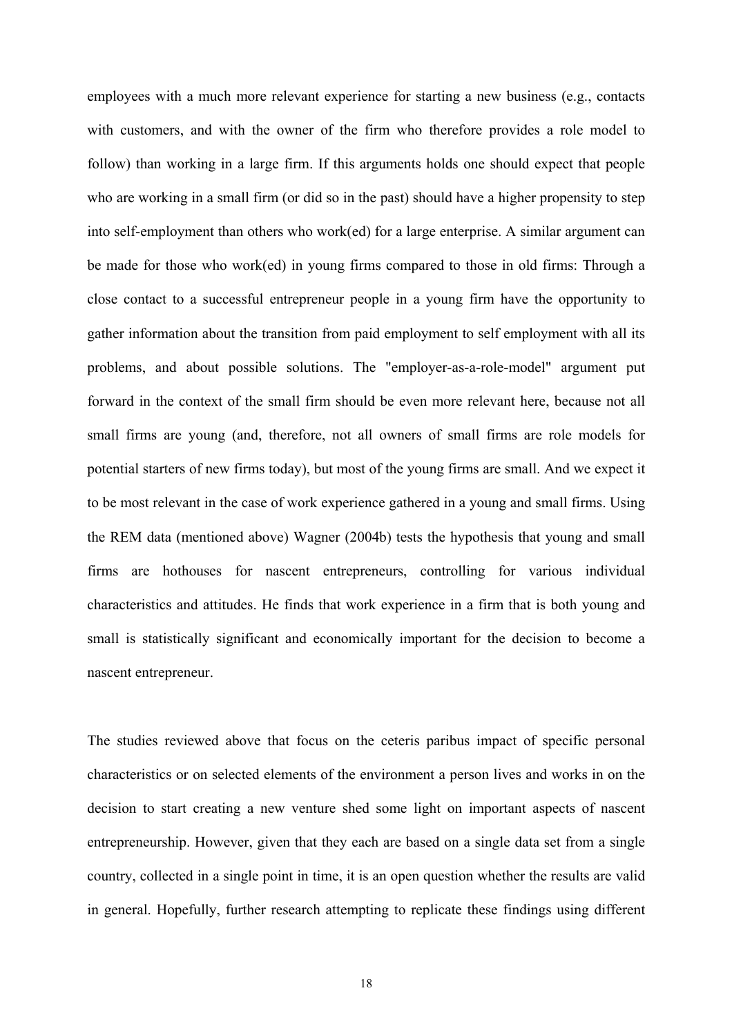employees with a much more relevant experience for starting a new business (e.g., contacts with customers, and with the owner of the firm who therefore provides a role model to follow) than working in a large firm. If this arguments holds one should expect that people who are working in a small firm (or did so in the past) should have a higher propensity to step into self-employment than others who work(ed) for a large enterprise. A similar argument can be made for those who work(ed) in young firms compared to those in old firms: Through a close contact to a successful entrepreneur people in a young firm have the opportunity to gather information about the transition from paid employment to self employment with all its problems, and about possible solutions. The "employer-as-a-role-model" argument put forward in the context of the small firm should be even more relevant here, because not all small firms are young (and, therefore, not all owners of small firms are role models for potential starters of new firms today), but most of the young firms are small. And we expect it to be most relevant in the case of work experience gathered in a young and small firms. Using the REM data (mentioned above) Wagner (2004b) tests the hypothesis that young and small firms are hothouses for nascent entrepreneurs, controlling for various individual characteristics and attitudes. He finds that work experience in a firm that is both young and small is statistically significant and economically important for the decision to become a nascent entrepreneur.

The studies reviewed above that focus on the ceteris paribus impact of specific personal characteristics or on selected elements of the environment a person lives and works in on the decision to start creating a new venture shed some light on important aspects of nascent entrepreneurship. However, given that they each are based on a single data set from a single country, collected in a single point in time, it is an open question whether the results are valid in general. Hopefully, further research attempting to replicate these findings using different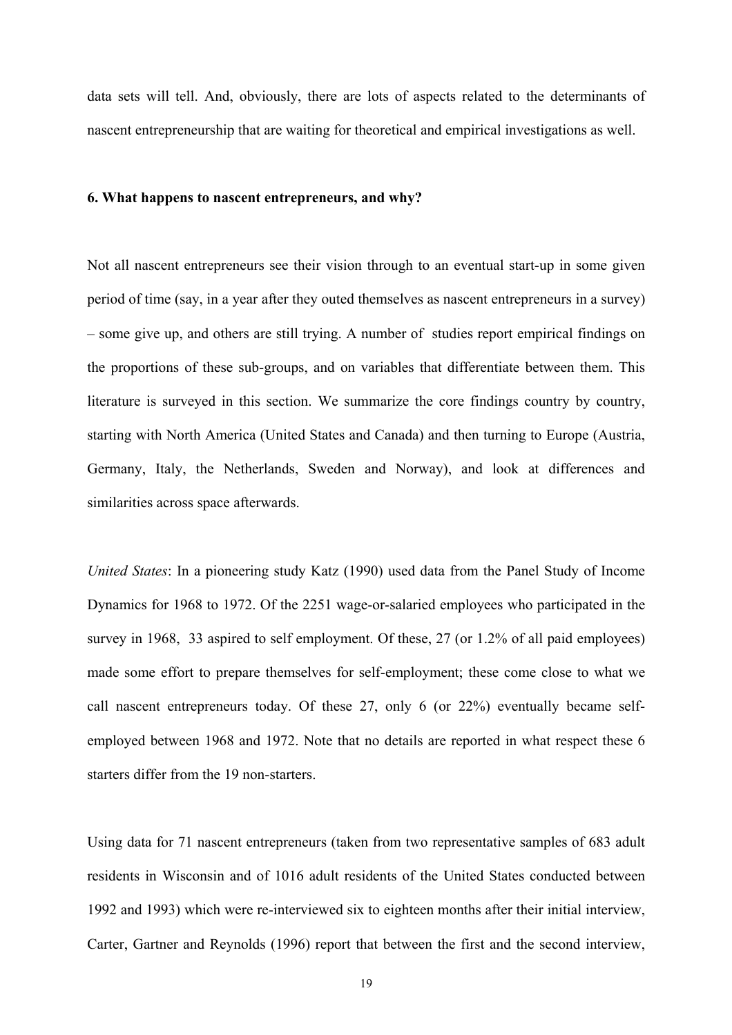data sets will tell. And, obviously, there are lots of aspects related to the determinants of nascent entrepreneurship that are waiting for theoretical and empirical investigations as well.

#### **6. What happens to nascent entrepreneurs, and why?**

Not all nascent entrepreneurs see their vision through to an eventual start-up in some given period of time (say, in a year after they outed themselves as nascent entrepreneurs in a survey) – some give up, and others are still trying. A number of studies report empirical findings on the proportions of these sub-groups, and on variables that differentiate between them. This literature is surveyed in this section. We summarize the core findings country by country, starting with North America (United States and Canada) and then turning to Europe (Austria, Germany, Italy, the Netherlands, Sweden and Norway), and look at differences and similarities across space afterwards.

*United States*: In a pioneering study Katz (1990) used data from the Panel Study of Income Dynamics for 1968 to 1972. Of the 2251 wage-or-salaried employees who participated in the survey in 1968, 33 aspired to self employment. Of these, 27 (or 1.2% of all paid employees) made some effort to prepare themselves for self-employment; these come close to what we call nascent entrepreneurs today. Of these 27, only 6 (or 22%) eventually became selfemployed between 1968 and 1972. Note that no details are reported in what respect these 6 starters differ from the 19 non-starters.

Using data for 71 nascent entrepreneurs (taken from two representative samples of 683 adult residents in Wisconsin and of 1016 adult residents of the United States conducted between 1992 and 1993) which were re-interviewed six to eighteen months after their initial interview, Carter, Gartner and Reynolds (1996) report that between the first and the second interview,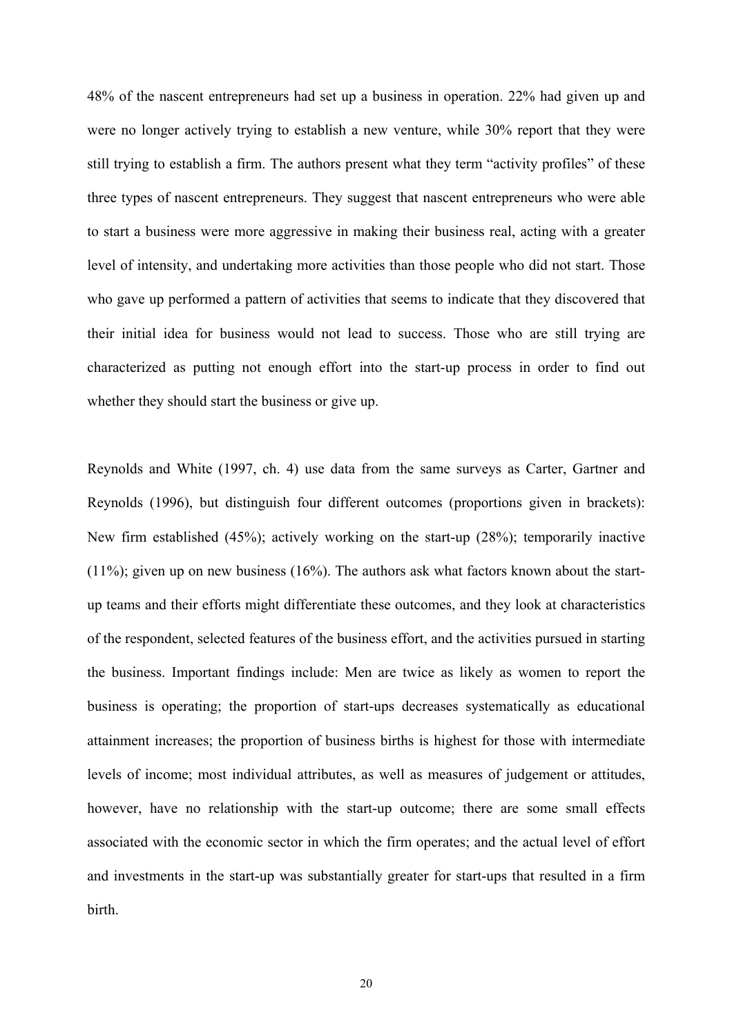48% of the nascent entrepreneurs had set up a business in operation. 22% had given up and were no longer actively trying to establish a new venture, while 30% report that they were still trying to establish a firm. The authors present what they term "activity profiles" of these three types of nascent entrepreneurs. They suggest that nascent entrepreneurs who were able to start a business were more aggressive in making their business real, acting with a greater level of intensity, and undertaking more activities than those people who did not start. Those who gave up performed a pattern of activities that seems to indicate that they discovered that their initial idea for business would not lead to success. Those who are still trying are characterized as putting not enough effort into the start-up process in order to find out whether they should start the business or give up.

Reynolds and White (1997, ch. 4) use data from the same surveys as Carter, Gartner and Reynolds (1996), but distinguish four different outcomes (proportions given in brackets): New firm established (45%); actively working on the start-up (28%); temporarily inactive (11%); given up on new business (16%). The authors ask what factors known about the startup teams and their efforts might differentiate these outcomes, and they look at characteristics of the respondent, selected features of the business effort, and the activities pursued in starting the business. Important findings include: Men are twice as likely as women to report the business is operating; the proportion of start-ups decreases systematically as educational attainment increases; the proportion of business births is highest for those with intermediate levels of income; most individual attributes, as well as measures of judgement or attitudes, however, have no relationship with the start-up outcome; there are some small effects associated with the economic sector in which the firm operates; and the actual level of effort and investments in the start-up was substantially greater for start-ups that resulted in a firm birth.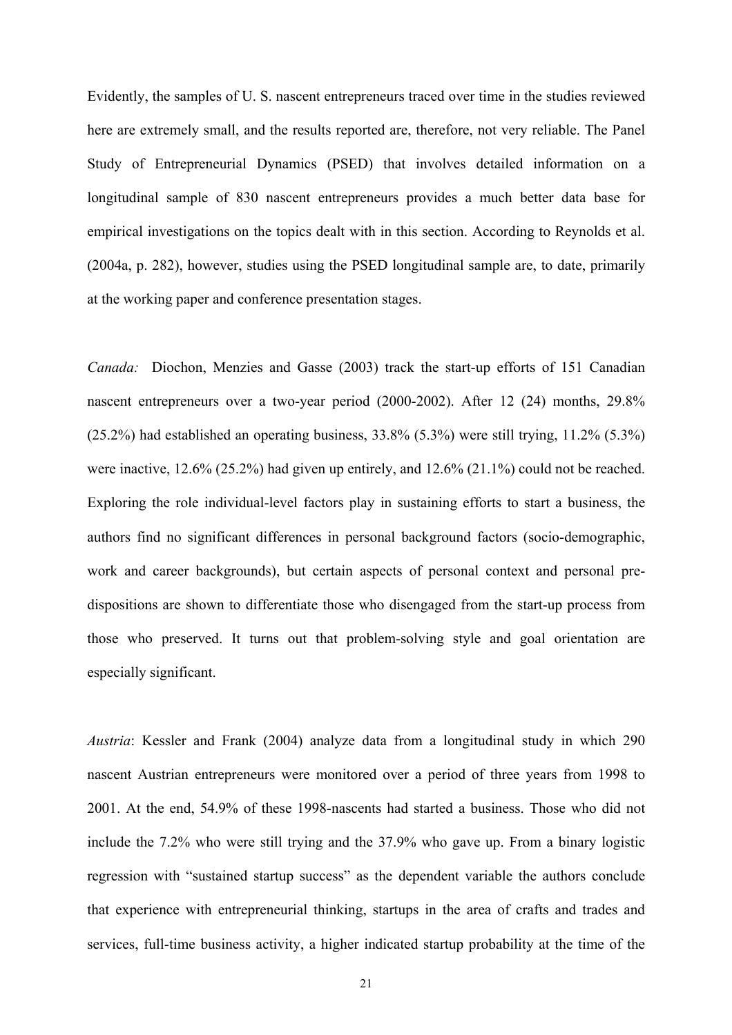Evidently, the samples of U. S. nascent entrepreneurs traced over time in the studies reviewed here are extremely small, and the results reported are, therefore, not very reliable. The Panel Study of Entrepreneurial Dynamics (PSED) that involves detailed information on a longitudinal sample of 830 nascent entrepreneurs provides a much better data base for empirical investigations on the topics dealt with in this section. According to Reynolds et al. (2004a, p. 282), however, studies using the PSED longitudinal sample are, to date, primarily at the working paper and conference presentation stages.

*Canada:* Diochon, Menzies and Gasse (2003) track the start-up efforts of 151 Canadian nascent entrepreneurs over a two-year period (2000-2002). After 12 (24) months, 29.8% (25.2%) had established an operating business, 33.8% (5.3%) were still trying, 11.2% (5.3%) were inactive, 12.6% (25.2%) had given up entirely, and 12.6% (21.1%) could not be reached. Exploring the role individual-level factors play in sustaining efforts to start a business, the authors find no significant differences in personal background factors (socio-demographic, work and career backgrounds), but certain aspects of personal context and personal predispositions are shown to differentiate those who disengaged from the start-up process from those who preserved. It turns out that problem-solving style and goal orientation are especially significant.

*Austria*: Kessler and Frank (2004) analyze data from a longitudinal study in which 290 nascent Austrian entrepreneurs were monitored over a period of three years from 1998 to 2001. At the end, 54.9% of these 1998-nascents had started a business. Those who did not include the 7.2% who were still trying and the 37.9% who gave up. From a binary logistic regression with "sustained startup success" as the dependent variable the authors conclude that experience with entrepreneurial thinking, startups in the area of crafts and trades and services, full-time business activity, a higher indicated startup probability at the time of the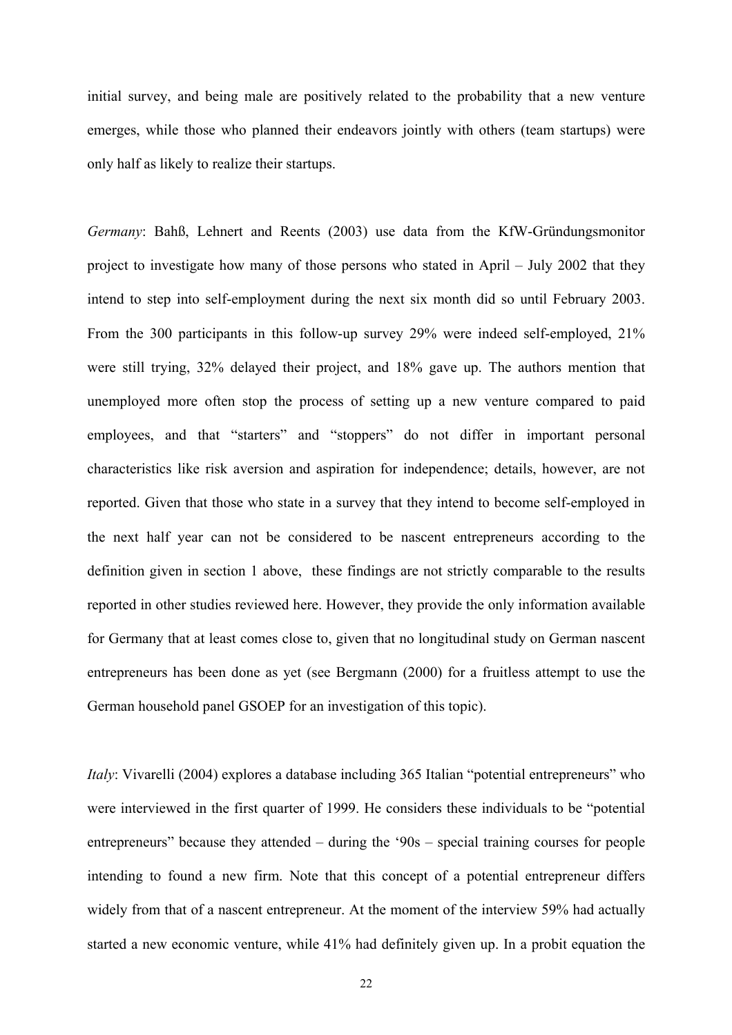initial survey, and being male are positively related to the probability that a new venture emerges, while those who planned their endeavors jointly with others (team startups) were only half as likely to realize their startups.

*Germany*: Bahß, Lehnert and Reents (2003) use data from the KfW-Gründungsmonitor project to investigate how many of those persons who stated in April – July 2002 that they intend to step into self-employment during the next six month did so until February 2003. From the 300 participants in this follow-up survey 29% were indeed self-employed, 21% were still trying, 32% delayed their project, and 18% gave up. The authors mention that unemployed more often stop the process of setting up a new venture compared to paid employees, and that "starters" and "stoppers" do not differ in important personal characteristics like risk aversion and aspiration for independence; details, however, are not reported. Given that those who state in a survey that they intend to become self-employed in the next half year can not be considered to be nascent entrepreneurs according to the definition given in section 1 above, these findings are not strictly comparable to the results reported in other studies reviewed here. However, they provide the only information available for Germany that at least comes close to, given that no longitudinal study on German nascent entrepreneurs has been done as yet (see Bergmann (2000) for a fruitless attempt to use the German household panel GSOEP for an investigation of this topic).

*Italy*: Vivarelli (2004) explores a database including 365 Italian "potential entrepreneurs" who were interviewed in the first quarter of 1999. He considers these individuals to be "potential entrepreneurs" because they attended – during the '90s – special training courses for people intending to found a new firm. Note that this concept of a potential entrepreneur differs widely from that of a nascent entrepreneur. At the moment of the interview 59% had actually started a new economic venture, while 41% had definitely given up. In a probit equation the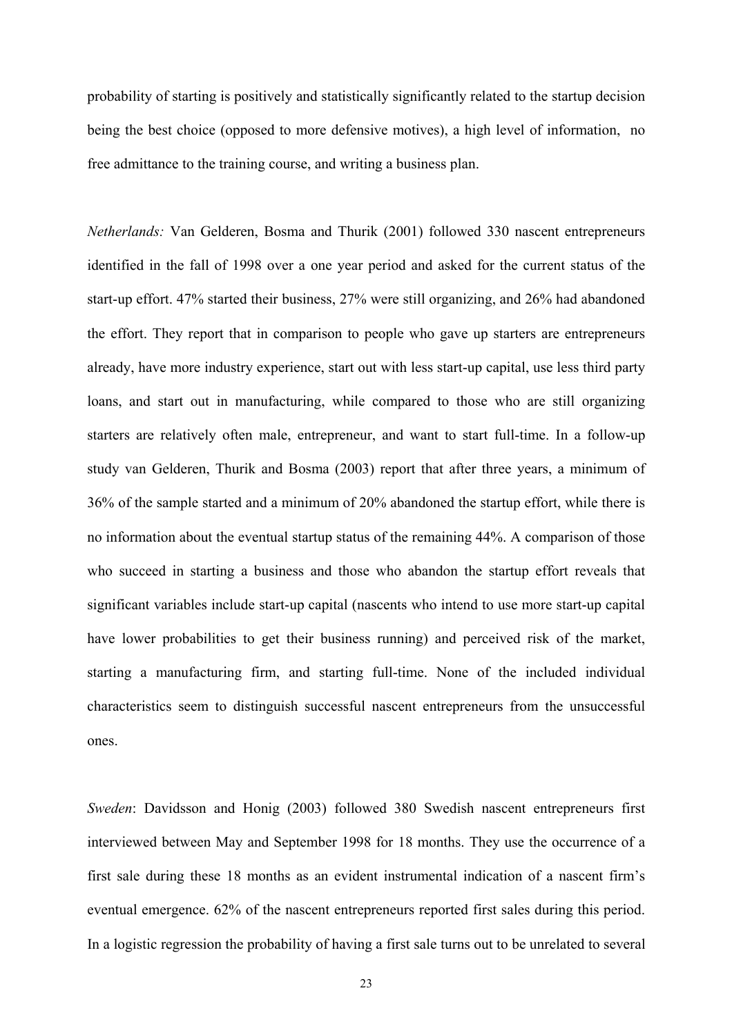probability of starting is positively and statistically significantly related to the startup decision being the best choice (opposed to more defensive motives), a high level of information, no free admittance to the training course, and writing a business plan.

*Netherlands:* Van Gelderen, Bosma and Thurik (2001) followed 330 nascent entrepreneurs identified in the fall of 1998 over a one year period and asked for the current status of the start-up effort. 47% started their business, 27% were still organizing, and 26% had abandoned the effort. They report that in comparison to people who gave up starters are entrepreneurs already, have more industry experience, start out with less start-up capital, use less third party loans, and start out in manufacturing, while compared to those who are still organizing starters are relatively often male, entrepreneur, and want to start full-time. In a follow-up study van Gelderen, Thurik and Bosma (2003) report that after three years, a minimum of 36% of the sample started and a minimum of 20% abandoned the startup effort, while there is no information about the eventual startup status of the remaining 44%. A comparison of those who succeed in starting a business and those who abandon the startup effort reveals that significant variables include start-up capital (nascents who intend to use more start-up capital have lower probabilities to get their business running) and perceived risk of the market, starting a manufacturing firm, and starting full-time. None of the included individual characteristics seem to distinguish successful nascent entrepreneurs from the unsuccessful ones.

*Sweden*: Davidsson and Honig (2003) followed 380 Swedish nascent entrepreneurs first interviewed between May and September 1998 for 18 months. They use the occurrence of a first sale during these 18 months as an evident instrumental indication of a nascent firm's eventual emergence. 62% of the nascent entrepreneurs reported first sales during this period. In a logistic regression the probability of having a first sale turns out to be unrelated to several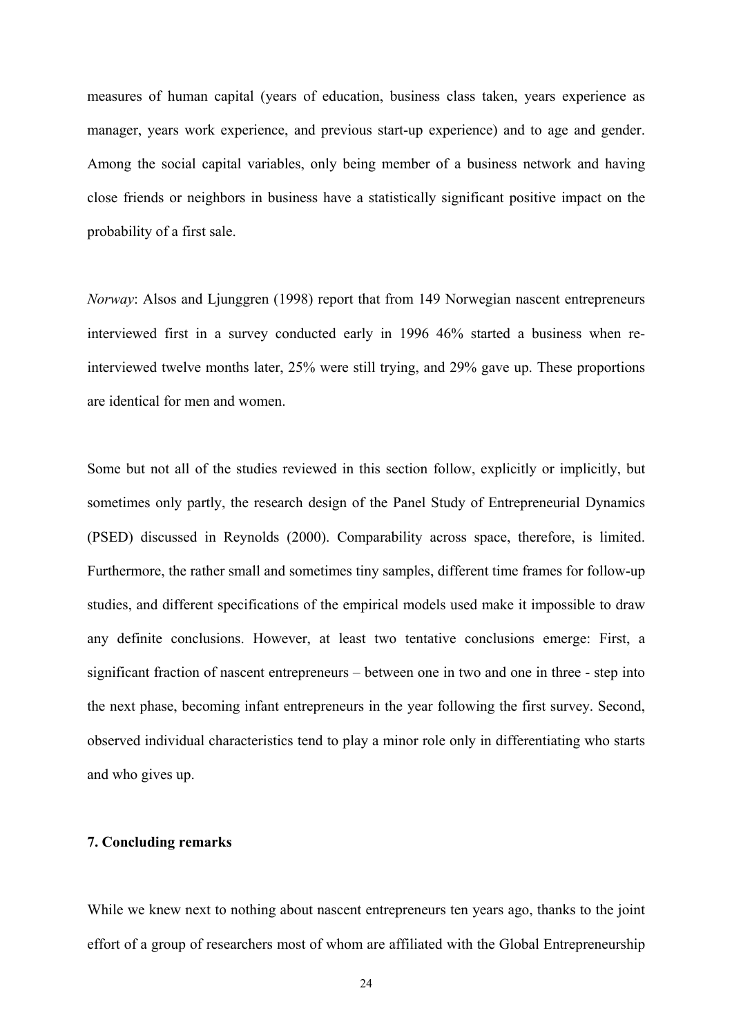measures of human capital (years of education, business class taken, years experience as manager, years work experience, and previous start-up experience) and to age and gender. Among the social capital variables, only being member of a business network and having close friends or neighbors in business have a statistically significant positive impact on the probability of a first sale.

*Norway*: Alsos and Ljunggren (1998) report that from 149 Norwegian nascent entrepreneurs interviewed first in a survey conducted early in 1996 46% started a business when reinterviewed twelve months later, 25% were still trying, and 29% gave up. These proportions are identical for men and women.

Some but not all of the studies reviewed in this section follow, explicitly or implicitly, but sometimes only partly, the research design of the Panel Study of Entrepreneurial Dynamics (PSED) discussed in Reynolds (2000). Comparability across space, therefore, is limited. Furthermore, the rather small and sometimes tiny samples, different time frames for follow-up studies, and different specifications of the empirical models used make it impossible to draw any definite conclusions. However, at least two tentative conclusions emerge: First, a significant fraction of nascent entrepreneurs – between one in two and one in three - step into the next phase, becoming infant entrepreneurs in the year following the first survey. Second, observed individual characteristics tend to play a minor role only in differentiating who starts and who gives up.

#### **7. Concluding remarks**

While we knew next to nothing about nascent entrepreneurs ten years ago, thanks to the joint effort of a group of researchers most of whom are affiliated with the Global Entrepreneurship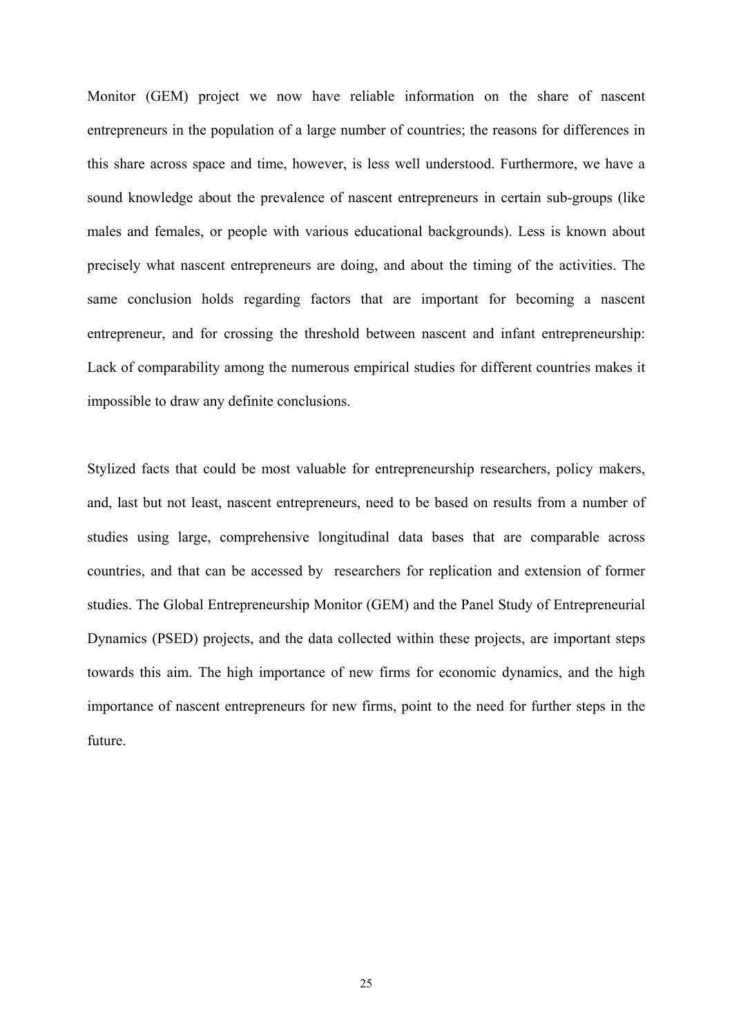Monitor (GEM) project we now have reliable information on the share of nascent entrepreneurs in the population of a large number of countries; the reasons for differences in this share across space and time, however, is less well understood. Furthermore, we have a sound knowledge about the prevalence of nascent entrepreneurs in certain sub-groups (like males and females, or people with various educational backgrounds). Less is known about precisely what nascent entrepreneurs are doing, and about the timing of the activities. The same conclusion holds regarding factors that are important for becoming a nascent entrepreneur, and for crossing the threshold between nascent and infant entrepreneurship: Lack of comparability among the numerous empirical studies for different countries makes it impossible to draw any definite conclusions.

Stylized facts that could be most valuable for entrepreneurship researchers, policy makers, and, last but not least, nascent entrepreneurs, need to be based on results from a number of studies using large, comprehensive longitudinal data bases that are comparable across countries, and that can be accessed by researchers for replication and extension of former studies. The Global Entrepreneurship Monitor (GEM) and the Panel Study of Entrepreneurial Dynamics (PSED) projects, and the data collected within these projects, are important steps towards this aim. The high importance of new firms for economic dynamics, and the high importance of nascent entrepreneurs for new firms, point to the need for further steps in the future.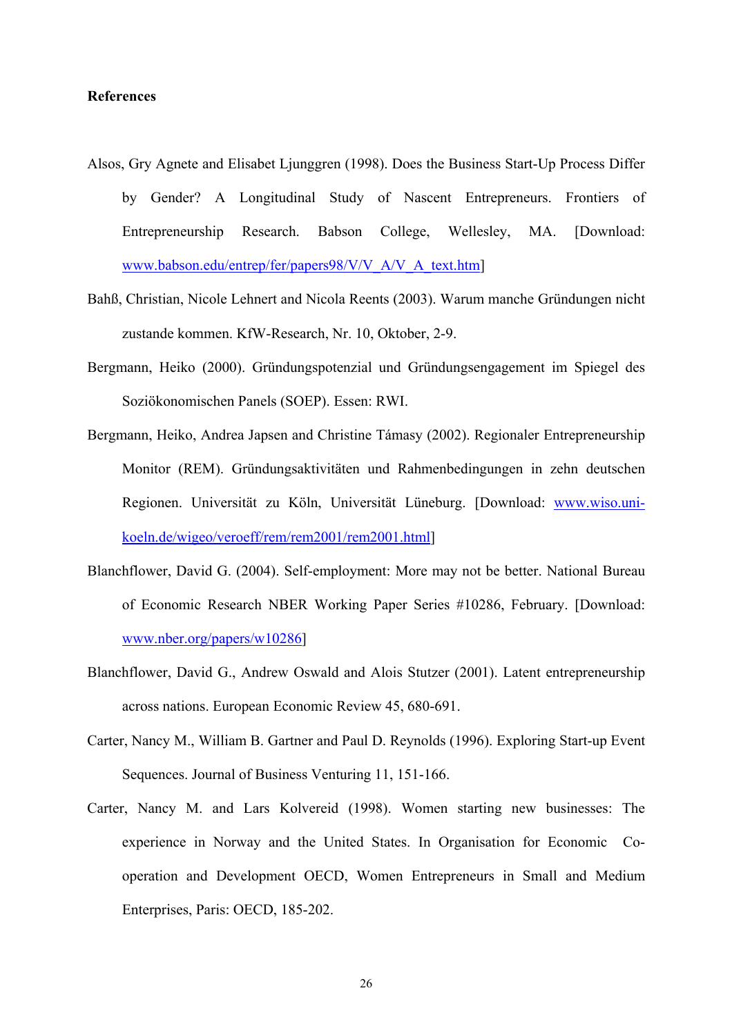#### **References**

- Alsos, Gry Agnete and Elisabet Ljunggren (1998). Does the Business Start-Up Process Differ by Gender? A Longitudinal Study of Nascent Entrepreneurs. Frontiers of Entrepreneurship Research. Babson College, Wellesley, MA. [Download: www.babson.edu/entrep/fer/papers98/V/V\_A/V\_A\_text.htm]
- Bahß, Christian, Nicole Lehnert and Nicola Reents (2003). Warum manche Gründungen nicht zustande kommen. KfW-Research, Nr. 10, Oktober, 2-9.
- Bergmann, Heiko (2000). Gründungspotenzial und Gründungsengagement im Spiegel des Soziökonomischen Panels (SOEP). Essen: RWI.
- Bergmann, Heiko, Andrea Japsen and Christine Támasy (2002). Regionaler Entrepreneurship Monitor (REM). Gründungsaktivitäten und Rahmenbedingungen in zehn deutschen Regionen. Universität zu Köln, Universität Lüneburg. [Download: www.wiso.unikoeln.de/wigeo/veroeff/rem/rem2001/rem2001.html]
- Blanchflower, David G. (2004). Self-employment: More may not be better. National Bureau of Economic Research NBER Working Paper Series #10286, February. [Download: www.nber.org/papers/w10286]
- Blanchflower, David G., Andrew Oswald and Alois Stutzer (2001). Latent entrepreneurship across nations. European Economic Review 45, 680-691.
- Carter, Nancy M., William B. Gartner and Paul D. Reynolds (1996). Exploring Start-up Event Sequences. Journal of Business Venturing 11, 151-166.
- Carter, Nancy M. and Lars Kolvereid (1998). Women starting new businesses: The experience in Norway and the United States. In Organisation for Economic Cooperation and Development OECD, Women Entrepreneurs in Small and Medium Enterprises, Paris: OECD, 185-202.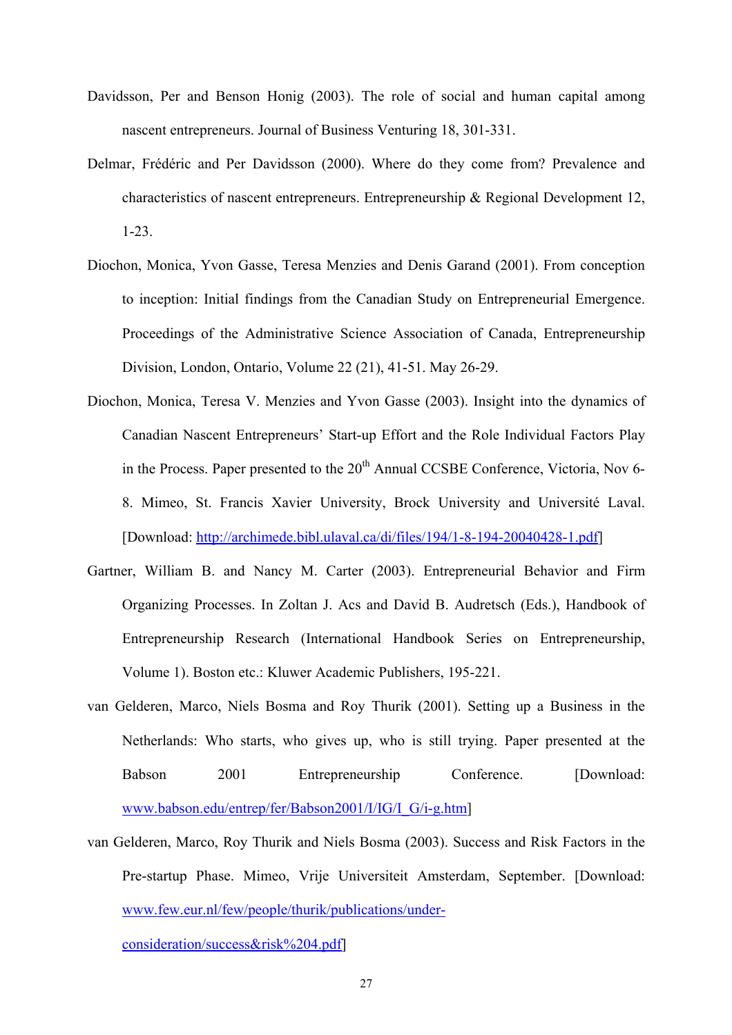- Davidsson, Per and Benson Honig (2003). The role of social and human capital among nascent entrepreneurs. Journal of Business Venturing 18, 301-331.
- Delmar, Frédéric and Per Davidsson (2000). Where do they come from? Prevalence and characteristics of nascent entrepreneurs. Entrepreneurship & Regional Development 12, 1-23.
- Diochon, Monica, Yvon Gasse, Teresa Menzies and Denis Garand (2001). From conception to inception: Initial findings from the Canadian Study on Entrepreneurial Emergence. Proceedings of the Administrative Science Association of Canada, Entrepreneurship Division, London, Ontario, Volume 22 (21), 41-51. May 26-29.
- Diochon, Monica, Teresa V. Menzies and Yvon Gasse (2003). Insight into the dynamics of Canadian Nascent Entrepreneurs' Start-up Effort and the Role Individual Factors Play in the Process. Paper presented to the  $20<sup>th</sup>$  Annual CCSBE Conference, Victoria, Nov 6-8. Mimeo, St. Francis Xavier University, Brock University and Université Laval. [Download: http://archimede.bibl.ulaval.ca/di/files/194/1-8-194-20040428-1.pdf]
- Gartner, William B. and Nancy M. Carter (2003). Entrepreneurial Behavior and Firm Organizing Processes. In Zoltan J. Acs and David B. Audretsch (Eds.), Handbook of Entrepreneurship Research (International Handbook Series on Entrepreneurship, Volume 1). Boston etc.: Kluwer Academic Publishers, 195-221.
- van Gelderen, Marco, Niels Bosma and Roy Thurik (2001). Setting up a Business in the Netherlands: Who starts, who gives up, who is still trying. Paper presented at the Babson 2001 Entrepreneurship Conference. [Download: www.babson.edu/entrep/fer/Babson2001/I/IG/I\_G/i-g.htm]
- van Gelderen, Marco, Roy Thurik and Niels Bosma (2003). Success and Risk Factors in the Pre-startup Phase. Mimeo, Vrije Universiteit Amsterdam, September. [Download: www.few.eur.nl/few/people/thurik/publications/under-

consideration/success&risk%204.pdf]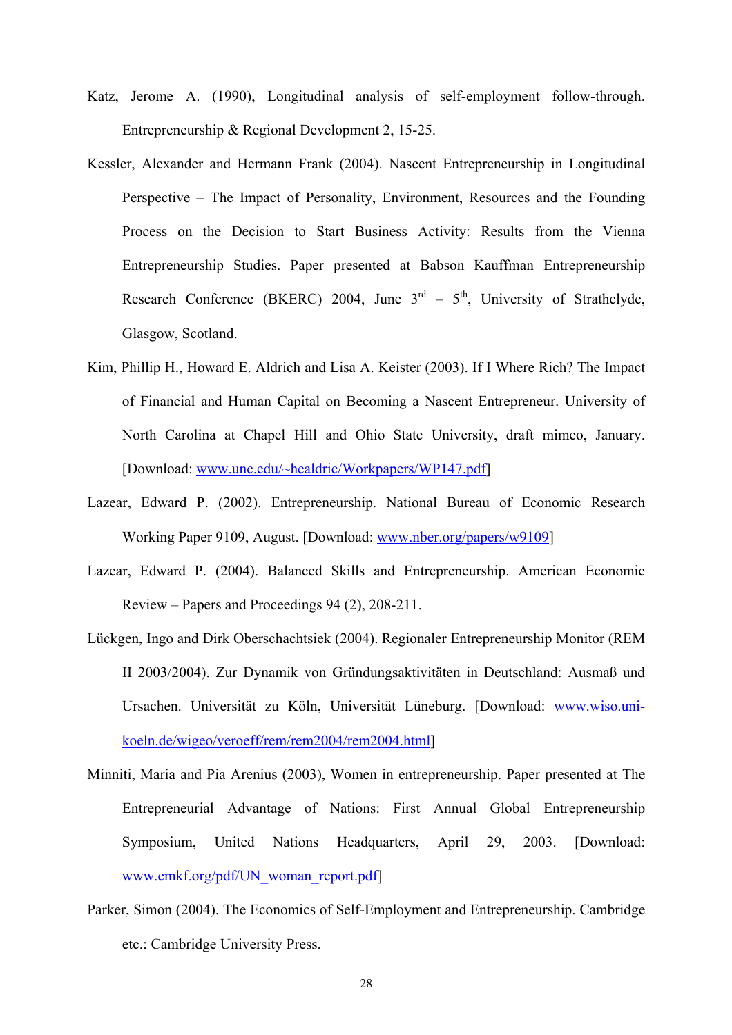- Katz, Jerome A. (1990), Longitudinal analysis of self-employment follow-through. Entrepreneurship & Regional Development 2, 15-25.
- Kessler, Alexander and Hermann Frank (2004). Nascent Entrepreneurship in Longitudinal Perspective – The Impact of Personality, Environment, Resources and the Founding Process on the Decision to Start Business Activity: Results from the Vienna Entrepreneurship Studies. Paper presented at Babson Kauffman Entrepreneurship Research Conference (BKERC) 2004, June  $3<sup>rd</sup> - 5<sup>th</sup>$ , University of Strathclyde, Glasgow, Scotland.
- Kim, Phillip H., Howard E. Aldrich and Lisa A. Keister (2003). If I Where Rich? The Impact of Financial and Human Capital on Becoming a Nascent Entrepreneur. University of North Carolina at Chapel Hill and Ohio State University, draft mimeo, January. [Download: www.unc.edu/~healdric/Workpapers/WP147.pdf]
- Lazear, Edward P. (2002). Entrepreneurship. National Bureau of Economic Research Working Paper 9109, August. [Download: www.nber.org/papers/w9109]
- Lazear, Edward P. (2004). Balanced Skills and Entrepreneurship. American Economic Review – Papers and Proceedings 94 (2), 208-211.
- Lückgen, Ingo and Dirk Oberschachtsiek (2004). Regionaler Entrepreneurship Monitor (REM II 2003/2004). Zur Dynamik von Gründungsaktivitäten in Deutschland: Ausmaß und Ursachen. Universität zu Köln, Universität Lüneburg. [Download: www.wiso.unikoeln.de/wigeo/veroeff/rem/rem2004/rem2004.html]
- Minniti, Maria and Pia Arenius (2003), Women in entrepreneurship. Paper presented at The Entrepreneurial Advantage of Nations: First Annual Global Entrepreneurship Symposium, United Nations Headquarters, April 29, 2003. [Download: www.emkf.org/pdf/UN\_woman\_report.pdf]
- Parker, Simon (2004). The Economics of Self-Employment and Entrepreneurship. Cambridge etc.: Cambridge University Press.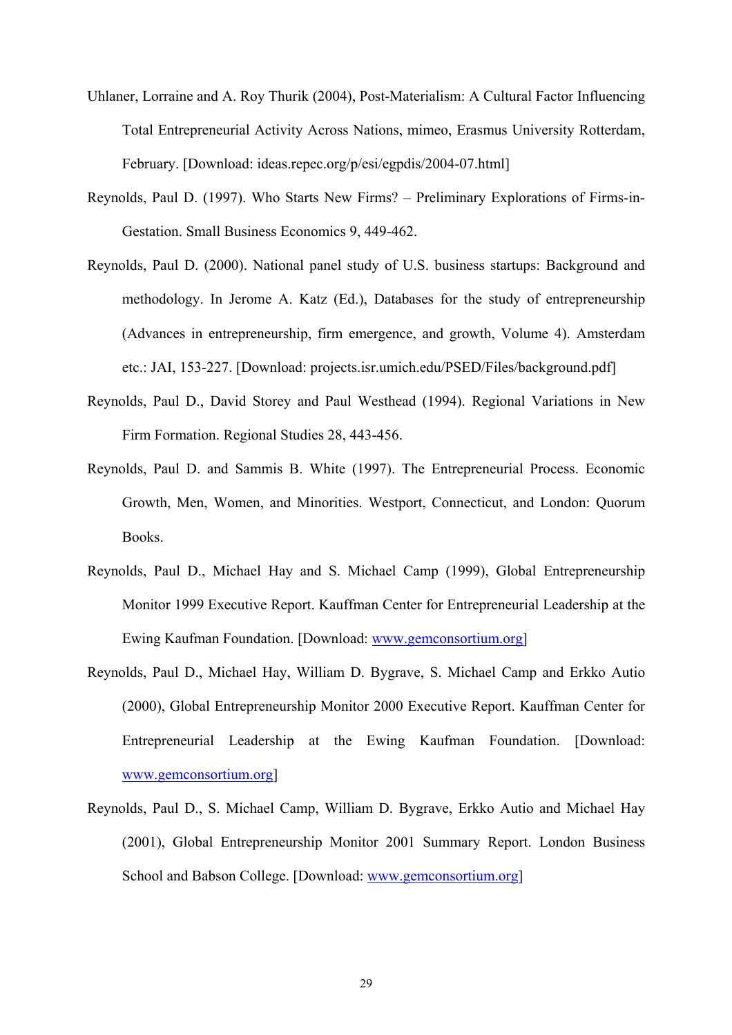- Uhlaner, Lorraine and A. Roy Thurik (2004), Post-Materialism: A Cultural Factor Influencing Total Entrepreneurial Activity Across Nations, mimeo, Erasmus University Rotterdam, February. [Download: ideas.repec.org/p/esi/egpdis/2004-07.html]
- Reynolds, Paul D. (1997). Who Starts New Firms? Preliminary Explorations of Firms-in-Gestation. Small Business Economics 9, 449-462.
- Reynolds, Paul D. (2000). National panel study of U.S. business startups: Background and methodology. In Jerome A. Katz (Ed.), Databases for the study of entrepreneurship (Advances in entrepreneurship, firm emergence, and growth, Volume 4). Amsterdam etc.: JAI, 153-227. [Download: projects.isr.umich.edu/PSED/Files/background.pdf]
- Reynolds, Paul D., David Storey and Paul Westhead (1994). Regional Variations in New Firm Formation. Regional Studies 28, 443-456.
- Reynolds, Paul D. and Sammis B. White (1997). The Entrepreneurial Process. Economic Growth, Men, Women, and Minorities. Westport, Connecticut, and London: Quorum Books.
- Reynolds, Paul D., Michael Hay and S. Michael Camp (1999), Global Entrepreneurship Monitor 1999 Executive Report. Kauffman Center for Entrepreneurial Leadership at the Ewing Kaufman Foundation. [Download: www.gemconsortium.org]
- Reynolds, Paul D., Michael Hay, William D. Bygrave, S. Michael Camp and Erkko Autio (2000), Global Entrepreneurship Monitor 2000 Executive Report. Kauffman Center for Entrepreneurial Leadership at the Ewing Kaufman Foundation. [Download: www.gemconsortium.org]
- Reynolds, Paul D., S. Michael Camp, William D. Bygrave, Erkko Autio and Michael Hay (2001), Global Entrepreneurship Monitor 2001 Summary Report. London Business School and Babson College. [Download: www.gemconsortium.org]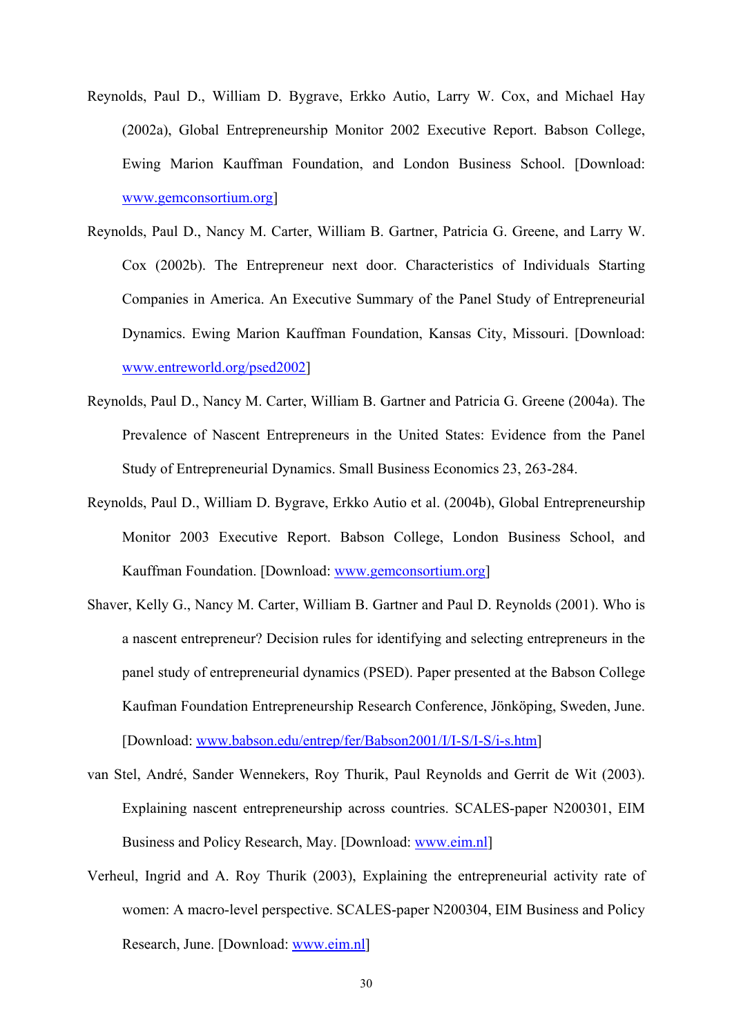- Reynolds, Paul D., William D. Bygrave, Erkko Autio, Larry W. Cox, and Michael Hay (2002a), Global Entrepreneurship Monitor 2002 Executive Report. Babson College, Ewing Marion Kauffman Foundation, and London Business School. [Download: www.gemconsortium.org]
- Reynolds, Paul D., Nancy M. Carter, William B. Gartner, Patricia G. Greene, and Larry W. Cox (2002b). The Entrepreneur next door. Characteristics of Individuals Starting Companies in America. An Executive Summary of the Panel Study of Entrepreneurial Dynamics. Ewing Marion Kauffman Foundation, Kansas City, Missouri. [Download: www.entreworld.org/psed2002]
- Reynolds, Paul D., Nancy M. Carter, William B. Gartner and Patricia G. Greene (2004a). The Prevalence of Nascent Entrepreneurs in the United States: Evidence from the Panel Study of Entrepreneurial Dynamics. Small Business Economics 23, 263-284.
- Reynolds, Paul D., William D. Bygrave, Erkko Autio et al. (2004b), Global Entrepreneurship Monitor 2003 Executive Report. Babson College, London Business School, and Kauffman Foundation. [Download: www.gemconsortium.org]
- Shaver, Kelly G., Nancy M. Carter, William B. Gartner and Paul D. Reynolds (2001). Who is a nascent entrepreneur? Decision rules for identifying and selecting entrepreneurs in the panel study of entrepreneurial dynamics (PSED). Paper presented at the Babson College Kaufman Foundation Entrepreneurship Research Conference, Jönköping, Sweden, June. [Download: www.babson.edu/entrep/fer/Babson2001/I/I-S/I-S/i-s.htm]
- van Stel, André, Sander Wennekers, Roy Thurik, Paul Reynolds and Gerrit de Wit (2003). Explaining nascent entrepreneurship across countries. SCALES-paper N200301, EIM Business and Policy Research, May. [Download: www.eim.nl]
- Verheul, Ingrid and A. Roy Thurik (2003), Explaining the entrepreneurial activity rate of women: A macro-level perspective. SCALES-paper N200304, EIM Business and Policy Research, June. [Download: www.eim.nl]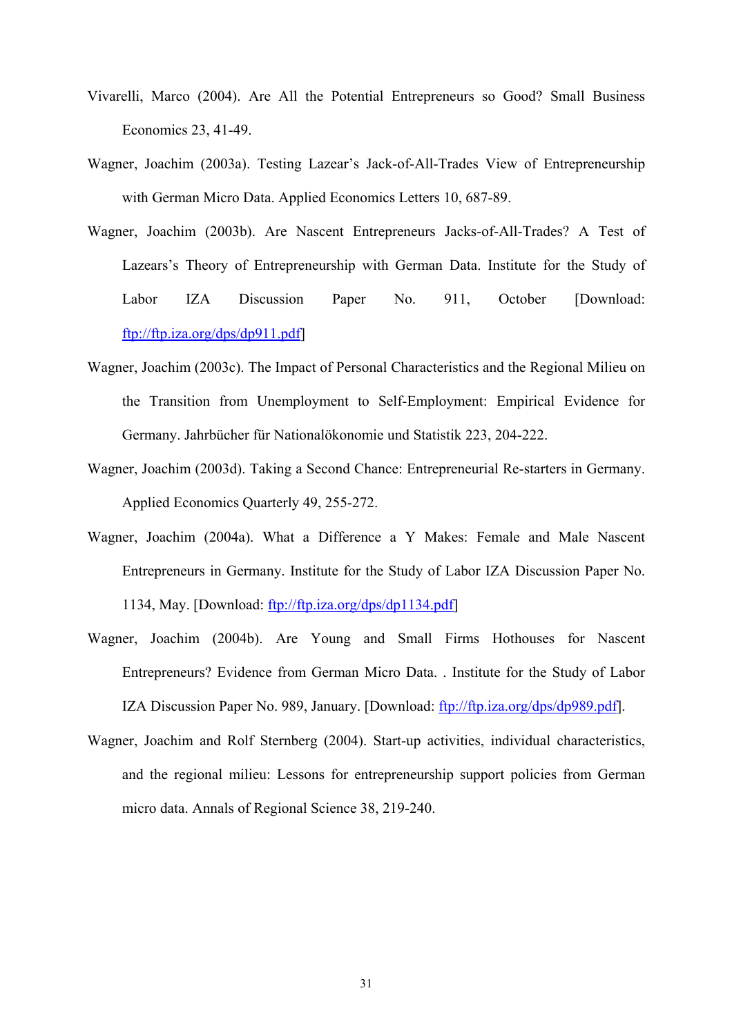- Vivarelli, Marco (2004). Are All the Potential Entrepreneurs so Good? Small Business Economics 23, 41-49.
- Wagner, Joachim (2003a). Testing Lazear's Jack-of-All-Trades View of Entrepreneurship with German Micro Data. Applied Economics Letters 10, 687-89.
- Wagner, Joachim (2003b). Are Nascent Entrepreneurs Jacks-of-All-Trades? A Test of Lazears's Theory of Entrepreneurship with German Data. Institute for the Study of Labor IZA Discussion Paper No. 911, October [Download: ftp://ftp.iza.org/dps/dp911.pdf]
- Wagner, Joachim (2003c). The Impact of Personal Characteristics and the Regional Milieu on the Transition from Unemployment to Self-Employment: Empirical Evidence for Germany. Jahrbücher für Nationalökonomie und Statistik 223, 204-222.
- Wagner, Joachim (2003d). Taking a Second Chance: Entrepreneurial Re-starters in Germany. Applied Economics Quarterly 49, 255-272.
- Wagner, Joachim (2004a). What a Difference a Y Makes: Female and Male Nascent Entrepreneurs in Germany. Institute for the Study of Labor IZA Discussion Paper No. 1134, May. [Download: ftp://ftp.iza.org/dps/dp1134.pdf]
- Wagner, Joachim (2004b). Are Young and Small Firms Hothouses for Nascent Entrepreneurs? Evidence from German Micro Data. . Institute for the Study of Labor IZA Discussion Paper No. 989, January. [Download: ftp://ftp.iza.org/dps/dp989.pdf].
- Wagner, Joachim and Rolf Sternberg (2004). Start-up activities, individual characteristics, and the regional milieu: Lessons for entrepreneurship support policies from German micro data. Annals of Regional Science 38, 219-240.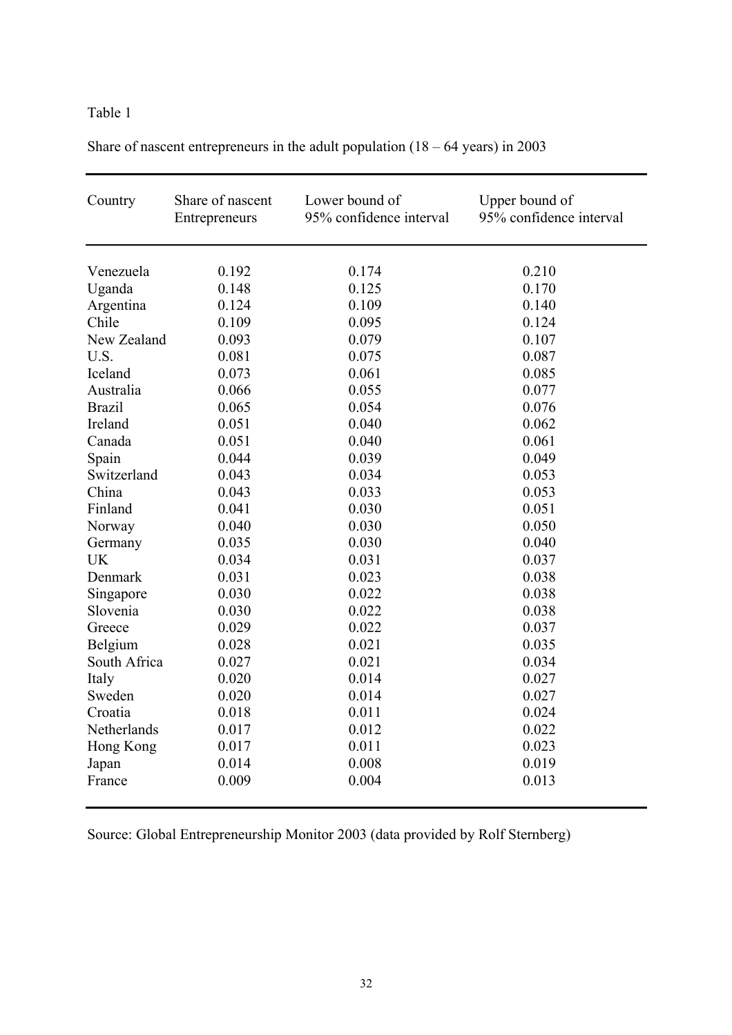### Table 1

| Country       | Share of nascent<br>Entrepreneurs | Lower bound of<br>95% confidence interval | Upper bound of<br>95% confidence interval |
|---------------|-----------------------------------|-------------------------------------------|-------------------------------------------|
| Venezuela     | 0.192                             | 0.174                                     | 0.210                                     |
| Uganda        | 0.148                             | 0.125                                     | 0.170                                     |
| Argentina     | 0.124                             | 0.109                                     | 0.140                                     |
| Chile         | 0.109                             | 0.095                                     | 0.124                                     |
| New Zealand   | 0.093                             | 0.079                                     | 0.107                                     |
| U.S.          | 0.081                             | 0.075                                     | 0.087                                     |
| Iceland       | 0.073                             | 0.061                                     | 0.085                                     |
| Australia     | 0.066                             | 0.055                                     | 0.077                                     |
| <b>Brazil</b> | 0.065                             | 0.054                                     | 0.076                                     |
| Ireland       | 0.051                             | 0.040                                     | 0.062                                     |
| Canada        | 0.051                             | 0.040                                     | 0.061                                     |
| Spain         | 0.044                             | 0.039                                     | 0.049                                     |
| Switzerland   | 0.043                             | 0.034                                     | 0.053                                     |
| China         | 0.043                             | 0.033                                     | 0.053                                     |
| Finland       | 0.041                             | 0.030                                     | 0.051                                     |
| Norway        | 0.040                             | 0.030                                     | 0.050                                     |
| Germany       | 0.035                             | 0.030                                     | 0.040                                     |
| <b>UK</b>     | 0.034                             | 0.031                                     | 0.037                                     |
| Denmark       | 0.031                             | 0.023                                     | 0.038                                     |
| Singapore     | 0.030                             | 0.022                                     | 0.038                                     |
| Slovenia      | 0.030                             | 0.022                                     | 0.038                                     |
| Greece        | 0.029                             | 0.022                                     | 0.037                                     |
| Belgium       | 0.028                             | 0.021                                     | 0.035                                     |
| South Africa  | 0.027                             | 0.021                                     | 0.034                                     |
| Italy         | 0.020                             | 0.014                                     | 0.027                                     |
| Sweden        | 0.020                             | 0.014                                     | 0.027                                     |
| Croatia       | 0.018                             | 0.011                                     | 0.024                                     |
| Netherlands   | 0.017                             | 0.012                                     | 0.022                                     |
| Hong Kong     | 0.017                             | 0.011                                     | 0.023                                     |
| Japan         | 0.014                             | 0.008                                     | 0.019                                     |
| France        | 0.009                             | 0.004                                     | 0.013                                     |

Source: Global Entrepreneurship Monitor 2003 (data provided by Rolf Sternberg)